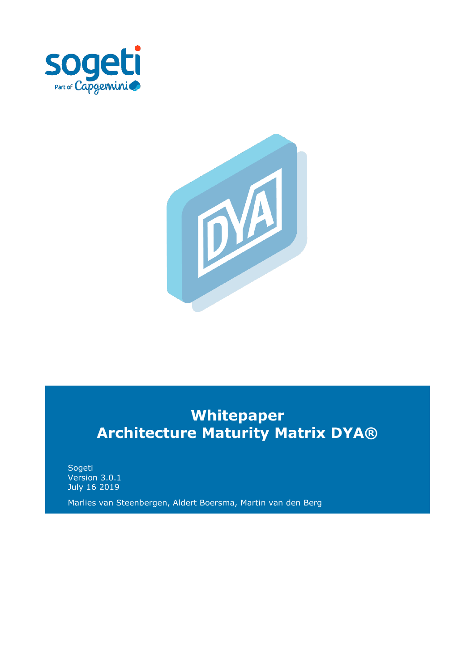



# **Whitepaper Architecture Maturity Matrix DYA®**

Sogeti Version 3.0.1 July 16 2019

Marlies van Steenbergen, Aldert Boersma, Martin van den Berg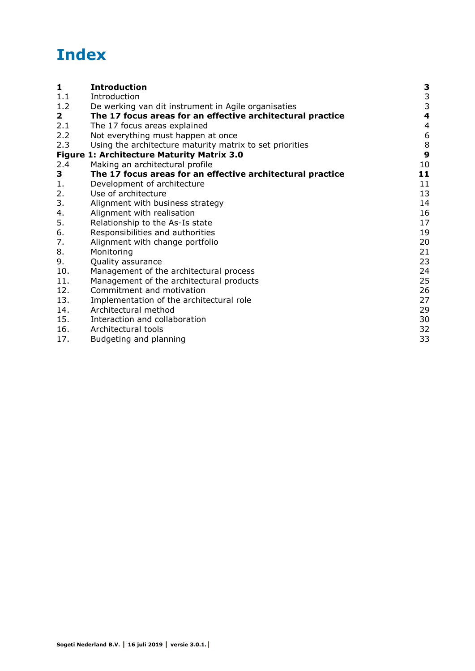# **Index**

| $\mathbf{1}$ | <b>Introduction</b>                                        | 3             |
|--------------|------------------------------------------------------------|---------------|
| 1.1          | Introduction                                               | $\frac{3}{3}$ |
| 1.2          | De werking van dit instrument in Agile organisaties        |               |
| $\mathbf{2}$ | The 17 focus areas for an effective architectural practice | 4             |
| 2.1          | The 17 focus areas explained                               | 4             |
| 2.2          | Not everything must happen at once                         | 6             |
| 2.3          | Using the architecture maturity matrix to set priorities   | $\frac{8}{9}$ |
|              | <b>Figure 1: Architecture Maturity Matrix 3.0</b>          |               |
| 2.4          | Making an architectural profile                            | 10            |
| 3            | The 17 focus areas for an effective architectural practice | 11            |
| 1.           | Development of architecture                                | 11            |
| 2.           | Use of architecture                                        | 13            |
| 3.           | Alignment with business strategy                           | 14            |
| 4.           | Alignment with realisation                                 | 16            |
| 5.           | Relationship to the As-Is state                            | 17            |
| 6.           | Responsibilities and authorities                           | 19            |
| 7.           | Alignment with change portfolio                            | 20            |
| 8.           | Monitoring                                                 | 21            |
| 9.           | Quality assurance                                          | 23            |
| 10.          | Management of the architectural process                    | 24            |
| 11.          | Management of the architectural products                   | 25            |
| 12.          | Commitment and motivation                                  | 26            |
| 13.          | Implementation of the architectural role                   | 27            |
| 14.          | Architectural method                                       | 29            |
| 15.          | Interaction and collaboration                              | 30            |
| 16.          | Architectural tools                                        | 32            |
| 17.          | Budgeting and planning                                     | 33            |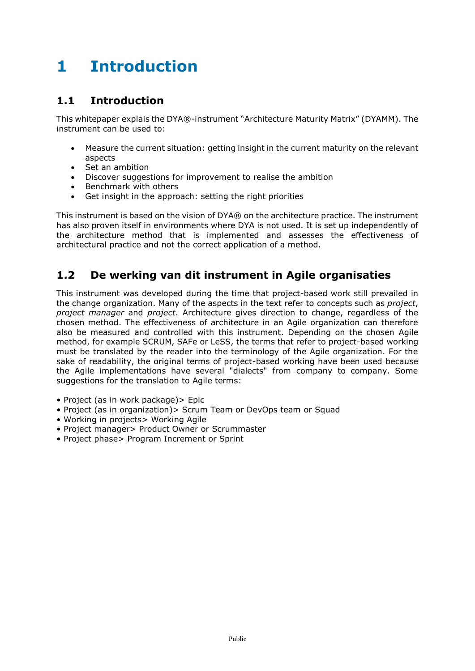# <span id="page-2-0"></span>**1 Introduction**

#### <span id="page-2-1"></span>**1.1 Introduction**

This whitepaper explais the DYA®-instrument "Architecture Maturity Matrix" (DYAMM). The instrument can be used to:

- Measure the current situation: getting insight in the current maturity on the relevant aspects
- Set an ambition
- Discover suggestions for improvement to realise the ambition
- Benchmark with others
- Get insight in the approach: setting the right priorities

This instrument is based on the vision of DYA® on the architecture practice. The instrument has also proven itself in environments where DYA is not used. It is set up independently of the architecture method that is implemented and assesses the effectiveness of architectural practice and not the correct application of a method.

## <span id="page-2-2"></span>**1.2 De werking van dit instrument in Agile organisaties**

This instrument was developed during the time that project-based work still prevailed in the change organization. Many of the aspects in the text refer to concepts such as *project*, *project manager* and *project*. Architecture gives direction to change, regardless of the chosen method. The effectiveness of architecture in an Agile organization can therefore also be measured and controlled with this instrument. Depending on the chosen Agile method, for example SCRUM, SAFe or LeSS, the terms that refer to project-based working must be translated by the reader into the terminology of the Agile organization. For the sake of readability, the original terms of project-based working have been used because the Agile implementations have several "dialects" from company to company. Some suggestions for the translation to Agile terms:

- Project (as in work package) > Epic
- Project (as in organization)> Scrum Team or DevOps team or Squad
- Working in projects> Working Agile
- Project manager> Product Owner or Scrummaster
- Project phase> Program Increment or Sprint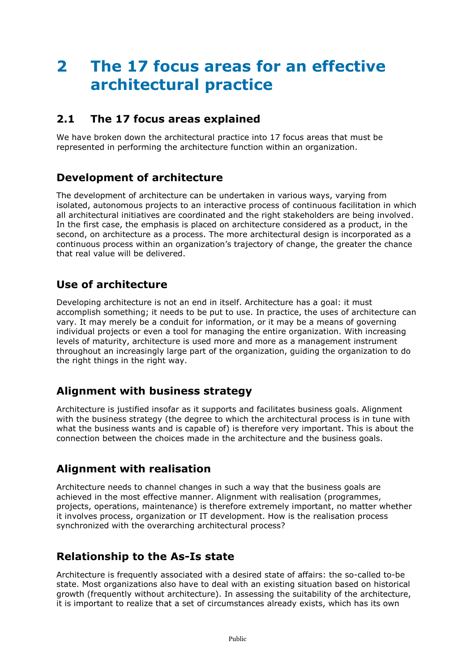# <span id="page-3-0"></span>**2 The 17 focus areas for an effective architectural practice**

#### <span id="page-3-1"></span>**2.1 The 17 focus areas explained**

We have broken down the architectural practice into 17 focus areas that must be represented in performing the architecture function within an organization.

#### **Development of architecture**

The development of architecture can be undertaken in various ways, varying from isolated, autonomous projects to an interactive process of continuous facilitation in which all architectural initiatives are coordinated and the right stakeholders are being involved. In the first case, the emphasis is placed on architecture considered as a product, in the second, on architecture as a process. The more architectural design is incorporated as a continuous process within an organization's trajectory of change, the greater the chance that real value will be delivered.

#### **Use of architecture**

Developing architecture is not an end in itself. Architecture has a goal: it must accomplish something; it needs to be put to use. In practice, the uses of architecture can vary. It may merely be a conduit for information, or it may be a means of governing individual projects or even a tool for managing the entire organization. With increasing levels of maturity, architecture is used more and more as a management instrument throughout an increasingly large part of the organization, guiding the organization to do the right things in the right way.

## **Alignment with business strategy**

Architecture is justified insofar as it supports and facilitates business goals. Alignment with the business strategy (the degree to which the architectural process is in tune with what the business wants and is capable of) is therefore very important. This is about the connection between the choices made in the architecture and the business goals.

## **Alignment with realisation**

Architecture needs to channel changes in such a way that the business goals are achieved in the most effective manner. Alignment with realisation (programmes, projects, operations, maintenance) is therefore extremely important, no matter whether it involves process, organization or IT development. How is the realisation process synchronized with the overarching architectural process?

## **Relationship to the As-Is state**

Architecture is frequently associated with a desired state of affairs: the so-called to-be state. Most organizations also have to deal with an existing situation based on historical growth (frequently without architecture). In assessing the suitability of the architecture, it is important to realize that a set of circumstances already exists, which has its own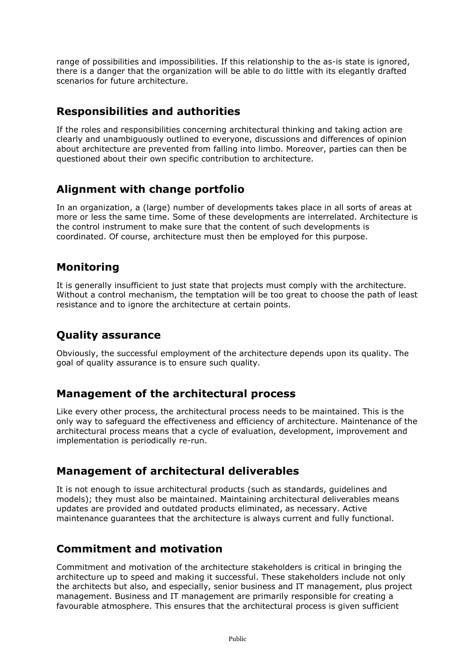range of possibilities and impossibilities. If this relationship to the as-is state is ignored, there is a danger that the organization will be able to do little with its elegantly drafted scenarios for future architecture.

## **Responsibilities and authorities**

If the roles and responsibilities concerning architectural thinking and taking action are clearly and unambiguously outlined to everyone, discussions and differences of opinion about architecture are prevented from falling into limbo. Moreover, parties can then be questioned about their own specific contribution to architecture.

## **Alignment with change portfolio**

In an organization, a (large) number of developments takes place in all sorts of areas at more or less the same time. Some of these developments are interrelated. Architecture is the control instrument to make sure that the content of such developments is coordinated. Of course, architecture must then be employed for this purpose.

## **Monitoring**

It is generally insufficient to just state that projects must comply with the architecture. Without a control mechanism, the temptation will be too great to choose the path of least resistance and to ignore the architecture at certain points.

# **Quality assurance**

Obviously, the successful employment of the architecture depends upon its quality. The goal of quality assurance is to ensure such quality.

## **Management of the architectural process**

Like every other process, the architectural process needs to be maintained. This is the only way to safeguard the effectiveness and efficiency of architecture. Maintenance of the architectural process means that a cycle of evaluation, development, improvement and implementation is periodically re-run.

## **Management of architectural deliverables**

It is not enough to issue architectural products (such as standards, guidelines and models); they must also be maintained. Maintaining architectural deliverables means updates are provided and outdated products eliminated, as necessary. Active maintenance guarantees that the architecture is always current and fully functional.

## **Commitment and motivation**

Commitment and motivation of the architecture stakeholders is critical in bringing the architecture up to speed and making it successful. These stakeholders include not only the architects but also, and especially, senior business and IT management, plus project management. Business and IT management are primarily responsible for creating a favourable atmosphere. This ensures that the architectural process is given sufficient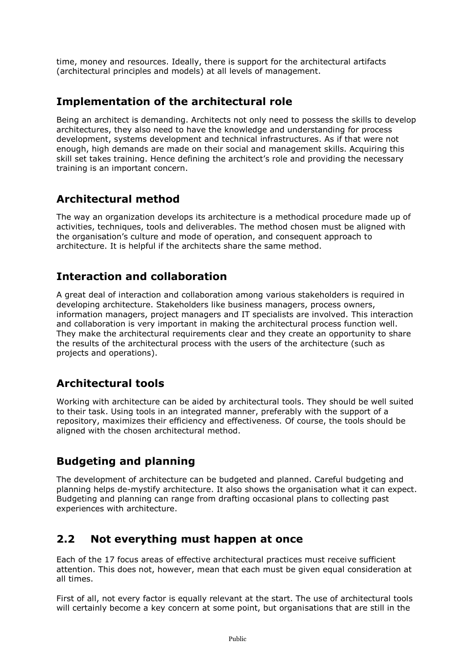time, money and resources. Ideally, there is support for the architectural artifacts (architectural principles and models) at all levels of management.

#### **Implementation of the architectural role**

Being an architect is demanding. Architects not only need to possess the skills to develop architectures, they also need to have the knowledge and understanding for process development, systems development and technical infrastructures. As if that were not enough, high demands are made on their social and management skills. Acquiring this skill set takes training. Hence defining the architect's role and providing the necessary training is an important concern.

## **Architectural method**

The way an organization develops its architecture is a methodical procedure made up of activities, techniques, tools and deliverables. The method chosen must be aligned with the organisation's culture and mode of operation, and consequent approach to architecture. It is helpful if the architects share the same method.

## **Interaction and collaboration**

A great deal of interaction and collaboration among various stakeholders is required in developing architecture. Stakeholders like business managers, process owners, information managers, project managers and IT specialists are involved. This interaction and collaboration is very important in making the architectural process function well. They make the architectural requirements clear and they create an opportunity to share the results of the architectural process with the users of the architecture (such as projects and operations).

## **Architectural tools**

Working with architecture can be aided by architectural tools. They should be well suited to their task. Using tools in an integrated manner, preferably with the support of a repository, maximizes their efficiency and effectiveness. Of course, the tools should be aligned with the chosen architectural method.

# **Budgeting and planning**

The development of architecture can be budgeted and planned. Careful budgeting and planning helps de-mystify architecture. It also shows the organisation what it can expect. Budgeting and planning can range from drafting occasional plans to collecting past experiences with architecture.

## <span id="page-5-0"></span>**2.2 Not everything must happen at once**

Each of the 17 focus areas of effective architectural practices must receive sufficient attention. This does not, however, mean that each must be given equal consideration at all times.

First of all, not every factor is equally relevant at the start. The use of architectural tools will certainly become a key concern at some point, but organisations that are still in the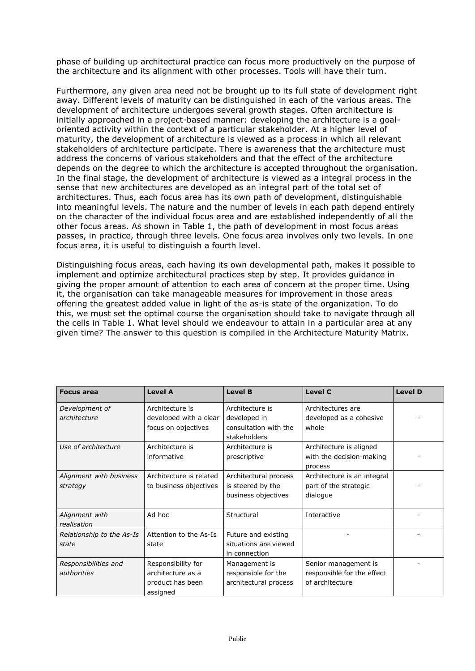phase of building up architectural practice can focus more productively on the purpose of the architecture and its alignment with other processes. Tools will have their turn.

Furthermore, any given area need not be brought up to its full state of development right away. Different levels of maturity can be distinguished in each of the various areas. The development of architecture undergoes several growth stages. Often architecture is initially approached in a project-based manner: developing the architecture is a goaloriented activity within the context of a particular stakeholder. At a higher level of maturity, the development of architecture is viewed as a process in which all relevant stakeholders of architecture participate. There is awareness that the architecture must address the concerns of various stakeholders and that the effect of the architecture depends on the degree to which the architecture is accepted throughout the organisation. In the final stage, the development of architecture is viewed as a integral process in the sense that new architectures are developed as an integral part of the total set of architectures. Thus, each focus area has its own path of development, distinguishable into meaningful levels. The nature and the number of levels in each path depend entirely on the character of the individual focus area and are established independently of all the other focus areas. As shown in Table 1, the path of development in most focus areas passes, in practice, through three levels. One focus area involves only two levels. In one focus area, it is useful to distinguish a fourth level.

Distinguishing focus areas, each having its own developmental path, makes it possible to implement and optimize architectural practices step by step. It provides guidance in giving the proper amount of attention to each area of concern at the proper time. Using it, the organisation can take manageable measures for improvement in those areas offering the greatest added value in light of the as-is state of the organization. To do this, we must set the optimal course the organisation should take to navigate through all the cells in Table 1. What level should we endeavour to attain in a particular area at any given time? The answer to this question is compiled in the Architecture Maturity Matrix.

| <b>Focus area</b>                   | <b>Level A</b>                                                          | <b>Level B</b>                                                           | <b>Level C</b>                                                        | <b>Level D</b> |
|-------------------------------------|-------------------------------------------------------------------------|--------------------------------------------------------------------------|-----------------------------------------------------------------------|----------------|
| Development of<br>architecture      | Architecture is<br>developed with a clear<br>focus on objectives        | Architecture is<br>developed in<br>consultation with the<br>stakeholders | Architectures are<br>developed as a cohesive<br>whole                 |                |
| Use of architecture                 | Architecture is<br>informative                                          | Architecture is<br>prescriptive                                          | Architecture is aligned<br>with the decision-making<br>process        |                |
| Alignment with business<br>strategy | Architecture is related<br>to business objectives                       | Architectural process<br>is steered by the<br>business objectives        | Architecture is an integral<br>part of the strategic<br>dialogue      |                |
| Alignment with<br>realisation       | Ad hoc                                                                  | Structural                                                               | Interactive                                                           |                |
| Relationship to the As-Is<br>state  | Attention to the As-Is<br>state                                         | Future and existing<br>situations are viewed<br>in connection            |                                                                       |                |
| Responsibilities and<br>authorities | Responsibility for<br>architecture as a<br>product has been<br>assigned | Management is<br>responsible for the<br>architectural process            | Senior management is<br>responsible for the effect<br>of architecture |                |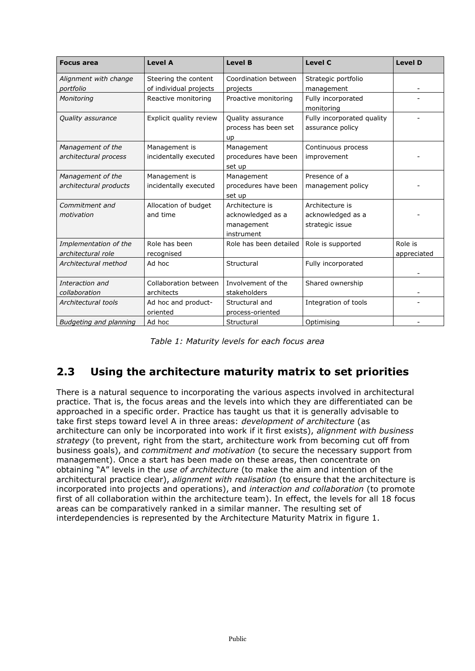| <b>Focus area</b>                           | <b>Level A</b>                                 | <b>Level B</b>                                                   | <b>Level C</b>                                          | <b>Level D</b>         |
|---------------------------------------------|------------------------------------------------|------------------------------------------------------------------|---------------------------------------------------------|------------------------|
| Alignment with change<br>portfolio          | Steering the content<br>of individual projects | Coordination between<br>projects                                 | Strategic portfolio<br>management                       |                        |
| Monitoring                                  | Reactive monitoring                            | Proactive monitoring                                             | Fully incorporated<br>monitoring                        |                        |
| <i><b>Quality assurance</b></i>             | Explicit quality review                        | Quality assurance<br>process has been set<br>up                  | Fully incorporated quality<br>assurance policy          |                        |
| Management of the<br>architectural process  | Management is<br>incidentally executed         | Management<br>procedures have been<br>set up                     | Continuous process<br>improvement                       |                        |
| Management of the<br>architectural products | Management is<br>incidentally executed         | Management<br>procedures have been<br>set up                     | Presence of a<br>management policy                      |                        |
| Commitment and<br>motivation                | Allocation of budget<br>and time               | Architecture is<br>acknowledged as a<br>management<br>instrument | Architecture is<br>acknowledged as a<br>strategic issue |                        |
| Implementation of the<br>architectural role | Role has been<br>recognised                    | Role has been detailed                                           | Role is supported                                       | Role is<br>appreciated |
| Architectural method                        | Ad hoc                                         | Structural                                                       | Fully incorporated                                      |                        |
| Interaction and<br>collaboration            | Collaboration between<br>architects            | Involvement of the<br>stakeholders                               | Shared ownership                                        |                        |
| Architectural tools                         | Ad hoc and product-<br>oriented                | Structural and<br>process-oriented                               | Integration of tools                                    |                        |
| Budgeting and planning                      | Ad hoc                                         | Structural                                                       | Optimising                                              |                        |

| Table 1: Maturity levels for each focus area |  |  |  |
|----------------------------------------------|--|--|--|
|----------------------------------------------|--|--|--|

# <span id="page-7-0"></span>**2.3 Using the architecture maturity matrix to set priorities**

There is a natural sequence to incorporating the various aspects involved in architectural practice. That is, the focus areas and the levels into which they are differentiated can be approached in a specific order. Practice has taught us that it is generally advisable to take first steps toward level A in three areas: *development of architecture* (as architecture can only be incorporated into work if it first exists), *alignment with business strategy* (to prevent, right from the start, architecture work from becoming cut off from business goals), and *commitment and motivation* (to secure the necessary support from management). Once a start has been made on these areas, then concentrate on obtaining "A" levels in the *use of architecture* (to make the aim and intention of the architectural practice clear), *alignment with realisation* (to ensure that the architecture is incorporated into projects and operations), and *interaction and collaboration* (to promote first of all collaboration within the architecture team). In effect, the levels for all 18 focus areas can be comparatively ranked in a similar manner. The resulting set of interdependencies is represented by the Architecture Maturity Matrix in figure 1.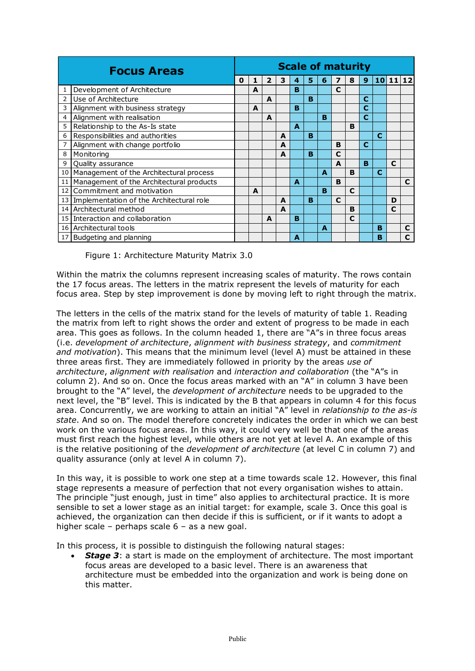|                 | <b>Focus Areas</b>                          |  |   |   |   |   |   | <b>Scale of maturity</b> |              |             |   |   |             |   |
|-----------------|---------------------------------------------|--|---|---|---|---|---|--------------------------|--------------|-------------|---|---|-------------|---|
|                 |                                             |  |   | 2 | 3 | 4 | 5 | 6                        |              | 8           | 9 |   | 10 11 12    |   |
|                 | Development of Architecture                 |  | A |   |   | B |   |                          | C            |             |   |   |             |   |
| $\overline{2}$  | Use of Architecture                         |  |   | A |   |   | B |                          |              |             | C |   |             |   |
| 3               | Alignment with business strategy            |  | A |   |   | B |   |                          |              |             | С |   |             |   |
| 4               | Alignment with realisation                  |  |   | A |   |   |   | B                        |              |             | C |   |             |   |
| 5               | Relationship to the As-Is state             |  |   |   |   | A |   |                          |              | в           |   |   |             |   |
| 6               | Responsibilities and authorities            |  |   |   | A |   | B |                          |              |             |   | C |             |   |
| 7               | Alignment with change portfolio             |  |   |   | A |   |   |                          | B            |             | C |   |             |   |
| 8               | Monitoring                                  |  |   |   | A |   | B |                          | $\mathbf c$  |             |   |   |             |   |
| 9               | Quality assurance                           |  |   |   |   |   |   |                          | A            |             | B |   | $\mathbf c$ |   |
|                 | 10 Management of the Architectural process  |  |   |   |   |   |   | A                        |              | B           |   | C |             |   |
|                 | 11 Management of the Architectural products |  |   |   |   | A |   |                          | B            |             |   |   |             | C |
|                 | 12 Commitment and motivation                |  | A |   |   |   |   | B                        |              | $\mathbf c$ |   |   |             |   |
| 13 <sup>1</sup> | Implementation of the Architectural role    |  |   |   | A |   | B |                          | $\mathbf{C}$ |             |   |   | D           |   |
|                 | 14 Architectural method                     |  |   |   | A |   |   |                          |              | B           |   |   | C           |   |
|                 | 15 Interaction and collaboration            |  |   | A |   | B |   |                          |              | C           |   |   |             |   |
|                 | 16 Architectural tools                      |  |   |   |   |   |   | $\blacktriangle$         |              |             |   | в |             | C |
|                 | 17 Budgeting and planning                   |  |   |   |   | A |   |                          |              |             |   | в |             | C |

<span id="page-8-0"></span>Figure 1: Architecture Maturity Matrix 3.0

Within the matrix the columns represent increasing scales of maturity. The rows contain the 17 focus areas. The letters in the matrix represent the levels of maturity for each focus area. Step by step improvement is done by moving left to right through the matrix.

The letters in the cells of the matrix stand for the levels of maturity of table 1. Reading the matrix from left to right shows the order and extent of progress to be made in each area. This goes as follows. In the column headed 1, there are "A"s in three focus areas (i.e. *development of architecture*, *alignment with business strategy*, and *commitment and motivation*). This means that the minimum level (level A) must be attained in these three areas first. They are immediately followed in priority by the areas *use of architecture*, *alignment with realisation* and *interaction and collaboration* (the "A"s in column 2). And so on. Once the focus areas marked with an "A" in column 3 have been brought to the "A" level, the *development of architecture* needs to be upgraded to the next level, the "B" level. This is indicated by the B that appears in column 4 for this focus area. Concurrently, we are working to attain an initial "A" level in *relationship to the as-is state*. And so on. The model therefore concretely indicates the order in which we can best work on the various focus areas. In this way, it could very well be that one of the areas must first reach the highest level, while others are not yet at level A. An example of this is the relative positioning of the *development of architecture* (at level C in column 7) and quality assurance (only at level A in column 7).

In this way, it is possible to work one step at a time towards scale 12. However, this final stage represents a measure of perfection that not every organisation wishes to attain. The principle "just enough, just in time" also applies to architectural practice. It is more sensible to set a lower stage as an initial target: for example, scale 3. Once this goal is achieved, the organization can then decide if this is sufficient, or if it wants to adopt a higher scale – perhaps scale 6 – as a new goal.

In this process, it is possible to distinguish the following natural stages:

**Stage 3:** a start is made on the employment of architecture. The most important focus areas are developed to a basic level. There is an awareness that architecture must be embedded into the organization and work is being done on this matter.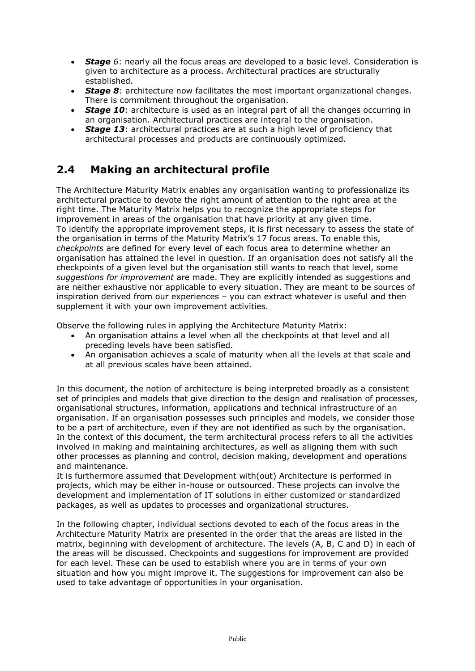- **Stage** 6: nearly all the focus areas are developed to a basic level. Consideration is given to architecture as a process. Architectural practices are structurally established.
- *Stage 8*: architecture now facilitates the most important organizational changes. There is commitment throughout the organisation.
- *Stage 10*: architecture is used as an integral part of all the changes occurring in an organisation. Architectural practices are integral to the organisation.
- **Stage 13:** architectural practices are at such a high level of proficiency that architectural processes and products are continuously optimized.

# <span id="page-9-0"></span>**2.4 Making an architectural profile**

The Architecture Maturity Matrix enables any organisation wanting to professionalize its architectural practice to devote the right amount of attention to the right area at the right time. The Maturity Matrix helps you to recognize the appropriate steps for improvement in areas of the organisation that have priority at any given time. To identify the appropriate improvement steps, it is first necessary to assess the state of the organisation in terms of the Maturity Matrix's 17 focus areas. To enable this, *checkpoints* are defined for every level of each focus area to determine whether an organisation has attained the level in question. If an organisation does not satisfy all the checkpoints of a given level but the organisation still wants to reach that level, some *suggestions for improvement* are made. They are explicitly intended as suggestions and are neither exhaustive nor applicable to every situation. They are meant to be sources of inspiration derived from our experiences – you can extract whatever is useful and then supplement it with your own improvement activities.

Observe the following rules in applying the Architecture Maturity Matrix:

- An organisation attains a level when all the checkpoints at that level and all preceding levels have been satisfied.
- An organisation achieves a scale of maturity when all the levels at that scale and at all previous scales have been attained.

In this document, the notion of architecture is being interpreted broadly as a consistent set of principles and models that give direction to the design and realisation of processes, organisational structures, information, applications and technical infrastructure of an organisation. If an organisation possesses such principles and models, we consider those to be a part of architecture, even if they are not identified as such by the organisation. In the context of this document, the term architectural process refers to all the activities involved in making and maintaining architectures, as well as aligning them with such other processes as planning and control, decision making, development and operations and maintenance.

It is furthermore assumed that Development with(out) Architecture is performed in projects, which may be either in-house or outsourced. These projects can involve the development and implementation of IT solutions in either customized or standardized packages, as well as updates to processes and organizational structures.

In the following chapter, individual sections devoted to each of the focus areas in the Architecture Maturity Matrix are presented in the order that the areas are listed in the matrix, beginning with development of architecture. The levels (A, B, C and D) in each of the areas will be discussed. Checkpoints and suggestions for improvement are provided for each level. These can be used to establish where you are in terms of your own situation and how you might improve it. The suggestions for improvement can also be used to take advantage of opportunities in your organisation.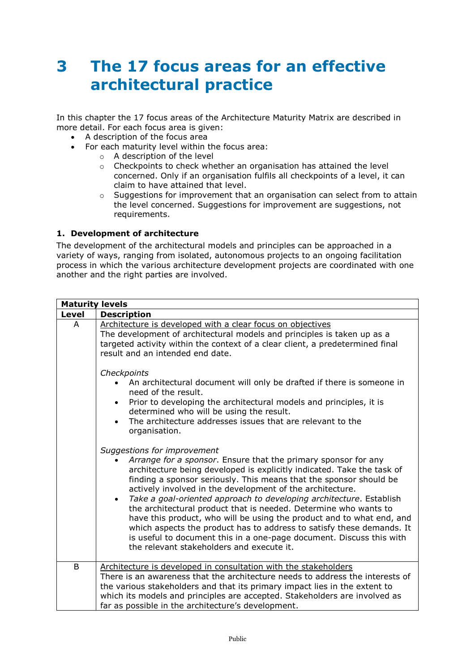# <span id="page-10-0"></span>**3 The 17 focus areas for an effective architectural practice**

In this chapter the 17 focus areas of the Architecture Maturity Matrix are described in more detail. For each focus area is given:

- A description of the focus area
- For each maturity level within the focus area:
	- o A description of the level
	- o Checkpoints to check whether an organisation has attained the level concerned. Only if an organisation fulfils all checkpoints of a level, it can claim to have attained that level.
	- $\circ$  Suggestions for improvement that an organisation can select from to attain the level concerned. Suggestions for improvement are suggestions, not requirements.

#### <span id="page-10-1"></span>**1. Development of architecture**

The development of the architectural models and principles can be approached in a variety of ways, ranging from isolated, autonomous projects to an ongoing facilitation process in which the various architecture development projects are coordinated with one another and the right parties are involved.

| <b>Maturity levels</b> |                                                                                                                                                                                                                                                                                                                                                                                                                                                                                                                                                                                                                                                                                                                                           |  |  |  |  |  |  |  |  |
|------------------------|-------------------------------------------------------------------------------------------------------------------------------------------------------------------------------------------------------------------------------------------------------------------------------------------------------------------------------------------------------------------------------------------------------------------------------------------------------------------------------------------------------------------------------------------------------------------------------------------------------------------------------------------------------------------------------------------------------------------------------------------|--|--|--|--|--|--|--|--|
| <b>Level</b>           | <b>Description</b>                                                                                                                                                                                                                                                                                                                                                                                                                                                                                                                                                                                                                                                                                                                        |  |  |  |  |  |  |  |  |
| A                      | Architecture is developed with a clear focus on objectives<br>The development of architectural models and principles is taken up as a<br>targeted activity within the context of a clear client, a predetermined final<br>result and an intended end date.                                                                                                                                                                                                                                                                                                                                                                                                                                                                                |  |  |  |  |  |  |  |  |
|                        | Checkpoints<br>An architectural document will only be drafted if there is someone in<br>need of the result.<br>Prior to developing the architectural models and principles, it is<br>$\bullet$<br>determined who will be using the result.<br>The architecture addresses issues that are relevant to the<br>$\bullet$<br>organisation.                                                                                                                                                                                                                                                                                                                                                                                                    |  |  |  |  |  |  |  |  |
|                        | Suggestions for improvement<br>Arrange for a sponsor. Ensure that the primary sponsor for any<br>architecture being developed is explicitly indicated. Take the task of<br>finding a sponsor seriously. This means that the sponsor should be<br>actively involved in the development of the architecture.<br>Take a goal-oriented approach to developing architecture. Establish<br>$\bullet$<br>the architectural product that is needed. Determine who wants to<br>have this product, who will be using the product and to what end, and<br>which aspects the product has to address to satisfy these demands. It<br>is useful to document this in a one-page document. Discuss this with<br>the relevant stakeholders and execute it. |  |  |  |  |  |  |  |  |
| B                      | Architecture is developed in consultation with the stakeholders<br>There is an awareness that the architecture needs to address the interests of<br>the various stakeholders and that its primary impact lies in the extent to<br>which its models and principles are accepted. Stakeholders are involved as<br>far as possible in the architecture's development.                                                                                                                                                                                                                                                                                                                                                                        |  |  |  |  |  |  |  |  |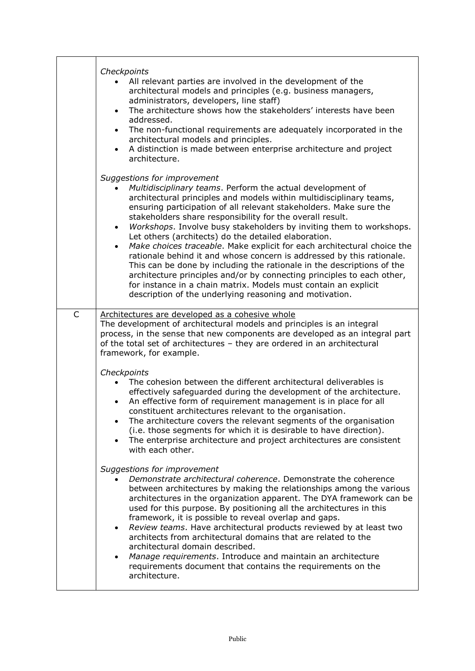|   | Checkpoints<br>All relevant parties are involved in the development of the<br>architectural models and principles (e.g. business managers,<br>administrators, developers, line staff)<br>The architecture shows how the stakeholders' interests have been<br>$\bullet$<br>addressed.<br>The non-functional requirements are adequately incorporated in the<br>$\bullet$<br>architectural models and principles.<br>A distinction is made between enterprise architecture and project<br>$\bullet$<br>architecture.                                                                                                                                                                                                                                                                                                                                                                                 |
|---|----------------------------------------------------------------------------------------------------------------------------------------------------------------------------------------------------------------------------------------------------------------------------------------------------------------------------------------------------------------------------------------------------------------------------------------------------------------------------------------------------------------------------------------------------------------------------------------------------------------------------------------------------------------------------------------------------------------------------------------------------------------------------------------------------------------------------------------------------------------------------------------------------|
|   | Suggestions for improvement<br>Multidisciplinary teams. Perform the actual development of<br>architectural principles and models within multidisciplinary teams,<br>ensuring participation of all relevant stakeholders. Make sure the<br>stakeholders share responsibility for the overall result.<br>Workshops. Involve busy stakeholders by inviting them to workshops.<br>$\bullet$<br>Let others (architects) do the detailed elaboration.<br>Make choices traceable. Make explicit for each architectural choice the<br>$\bullet$<br>rationale behind it and whose concern is addressed by this rationale.<br>This can be done by including the rationale in the descriptions of the<br>architecture principles and/or by connecting principles to each other,<br>for instance in a chain matrix. Models must contain an explicit<br>description of the underlying reasoning and motivation. |
| C | Architectures are developed as a cohesive whole<br>The development of architectural models and principles is an integral<br>process, in the sense that new components are developed as an integral part<br>of the total set of architectures - they are ordered in an architectural<br>framework, for example.                                                                                                                                                                                                                                                                                                                                                                                                                                                                                                                                                                                     |
|   | Checkpoints<br>The cohesion between the different architectural deliverables is<br>effectively safeguarded during the development of the architecture.<br>An effective form of requirement management is in place for all<br>constituent architectures relevant to the organisation.<br>The architecture covers the relevant segments of the organisation<br>(i.e. those segments for which it is desirable to have direction).<br>The enterprise architecture and project architectures are consistent<br>with each other.                                                                                                                                                                                                                                                                                                                                                                        |
|   | Suggestions for improvement<br>Demonstrate architectural coherence. Demonstrate the coherence<br>between architectures by making the relationships among the various<br>architectures in the organization apparent. The DYA framework can be<br>used for this purpose. By positioning all the architectures in this<br>framework, it is possible to reveal overlap and gaps.<br>Review teams. Have architectural products reviewed by at least two<br>$\bullet$<br>architects from architectural domains that are related to the<br>architectural domain described.<br>Manage requirements. Introduce and maintain an architecture<br>$\bullet$<br>requirements document that contains the requirements on the<br>architecture.                                                                                                                                                                    |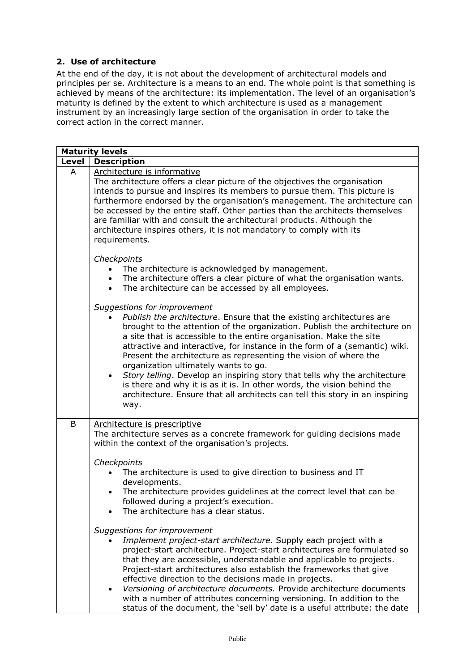#### <span id="page-12-0"></span>**2. Use of architecture**

At the end of the day, it is not about the development of architectural models and principles per se. Architecture is a means to an end. The whole point is that something is achieved by means of the architecture: its implementation. The level of an organisation's maturity is defined by the extent to which architecture is used as a management instrument by an increasingly large section of the organisation in order to take the correct action in the correct manner.

|       | <b>Maturity levels</b>                                                                                                                                                                                                                                                                                                                                                                                                                                                                                                                                                                                                                                                                                        |
|-------|---------------------------------------------------------------------------------------------------------------------------------------------------------------------------------------------------------------------------------------------------------------------------------------------------------------------------------------------------------------------------------------------------------------------------------------------------------------------------------------------------------------------------------------------------------------------------------------------------------------------------------------------------------------------------------------------------------------|
| Level | <b>Description</b>                                                                                                                                                                                                                                                                                                                                                                                                                                                                                                                                                                                                                                                                                            |
| A     | Architecture is informative<br>The architecture offers a clear picture of the objectives the organisation<br>intends to pursue and inspires its members to pursue them. This picture is<br>furthermore endorsed by the organisation's management. The architecture can<br>be accessed by the entire staff. Other parties than the architects themselves<br>are familiar with and consult the architectural products. Although the<br>architecture inspires others, it is not mandatory to comply with its<br>requirements.                                                                                                                                                                                    |
|       | Checkpoints<br>The architecture is acknowledged by management.<br>$\bullet$<br>• The architecture offers a clear picture of what the organisation wants.<br>The architecture can be accessed by all employees.<br>$\bullet$                                                                                                                                                                                                                                                                                                                                                                                                                                                                                   |
|       | Suggestions for improvement<br>Publish the architecture. Ensure that the existing architectures are<br>brought to the attention of the organization. Publish the architecture on<br>a site that is accessible to the entire organisation. Make the site<br>attractive and interactive, for instance in the form of a (semantic) wiki.<br>Present the architecture as representing the vision of where the<br>organization ultimately wants to go.<br>Story telling. Develop an inspiring story that tells why the architecture<br>$\bullet$<br>is there and why it is as it is. In other words, the vision behind the<br>architecture. Ensure that all architects can tell this story in an inspiring<br>way. |
| B     | Architecture is prescriptive<br>The architecture serves as a concrete framework for guiding decisions made<br>within the context of the organisation's projects.<br>Checkpoints<br>The architecture is used to give direction to business and IT<br>developments.<br>The architecture provides guidelines at the correct level that can be<br>followed during a project's execution.                                                                                                                                                                                                                                                                                                                          |
|       | The architecture has a clear status.<br>Suggestions for improvement<br>Implement project-start architecture. Supply each project with a<br>project-start architecture. Project-start architectures are formulated so<br>that they are accessible, understandable and applicable to projects.<br>Project-start architectures also establish the frameworks that give<br>effective direction to the decisions made in projects.<br>Versioning of architecture documents. Provide architecture documents<br>$\bullet$<br>with a number of attributes concerning versioning. In addition to the<br>status of the document, the 'sell by' date is a useful attribute: the date                                     |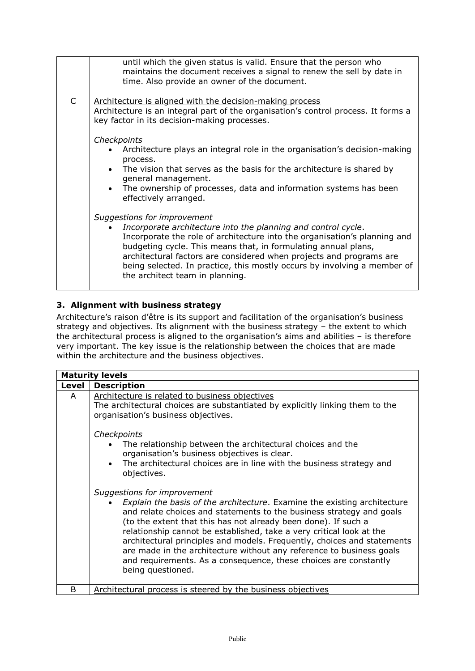|   | until which the given status is valid. Ensure that the person who<br>maintains the document receives a signal to renew the sell by date in<br>time. Also provide an owner of the document.                                                                                                                                                                                                                                        |
|---|-----------------------------------------------------------------------------------------------------------------------------------------------------------------------------------------------------------------------------------------------------------------------------------------------------------------------------------------------------------------------------------------------------------------------------------|
| C | Architecture is aligned with the decision-making process<br>Architecture is an integral part of the organisation's control process. It forms a<br>key factor in its decision-making processes.                                                                                                                                                                                                                                    |
|   | Checkpoints<br>Architecture plays an integral role in the organisation's decision-making<br>process.<br>The vision that serves as the basis for the architecture is shared by<br>general management.<br>The ownership of processes, data and information systems has been<br>effectively arranged.                                                                                                                                |
|   | Suggestions for improvement<br>Incorporate architecture into the planning and control cycle.<br>Incorporate the role of architecture into the organisation's planning and<br>budgeting cycle. This means that, in formulating annual plans,<br>architectural factors are considered when projects and programs are<br>being selected. In practice, this mostly occurs by involving a member of<br>the architect team in planning. |

#### <span id="page-13-0"></span>**3. Alignment with business strategy**

Architecture's raison d'être is its support and facilitation of the organisation's business strategy and objectives. Its alignment with the business strategy – the extent to which the architectural process is aligned to the organisation's aims and abilities – is therefore very important. The key issue is the relationship between the choices that are made within the architecture and the business objectives.

|       | <b>Maturity levels</b>                                                                                                                                                                                                                                                                                                                                                                                                                                                                                                                                                                                                                                                                                                                                                      |
|-------|-----------------------------------------------------------------------------------------------------------------------------------------------------------------------------------------------------------------------------------------------------------------------------------------------------------------------------------------------------------------------------------------------------------------------------------------------------------------------------------------------------------------------------------------------------------------------------------------------------------------------------------------------------------------------------------------------------------------------------------------------------------------------------|
| Level | <b>Description</b>                                                                                                                                                                                                                                                                                                                                                                                                                                                                                                                                                                                                                                                                                                                                                          |
| A     | Architecture is related to business objectives<br>The architectural choices are substantiated by explicitly linking them to the<br>organisation's business objectives.                                                                                                                                                                                                                                                                                                                                                                                                                                                                                                                                                                                                      |
|       | Checkpoints<br>The relationship between the architectural choices and the<br>organisation's business objectives is clear.<br>The architectural choices are in line with the business strategy and<br>objectives.<br>Suggestions for improvement<br><i>Explain the basis of the architecture.</i> Examine the existing architecture<br>and relate choices and statements to the business strategy and goals<br>(to the extent that this has not already been done). If such a<br>relationship cannot be established, take a very critical look at the<br>architectural principles and models. Frequently, choices and statements<br>are made in the architecture without any reference to business goals<br>and requirements. As a consequence, these choices are constantly |
|       | being questioned.                                                                                                                                                                                                                                                                                                                                                                                                                                                                                                                                                                                                                                                                                                                                                           |
| B     | Architectural process is steered by the business objectives                                                                                                                                                                                                                                                                                                                                                                                                                                                                                                                                                                                                                                                                                                                 |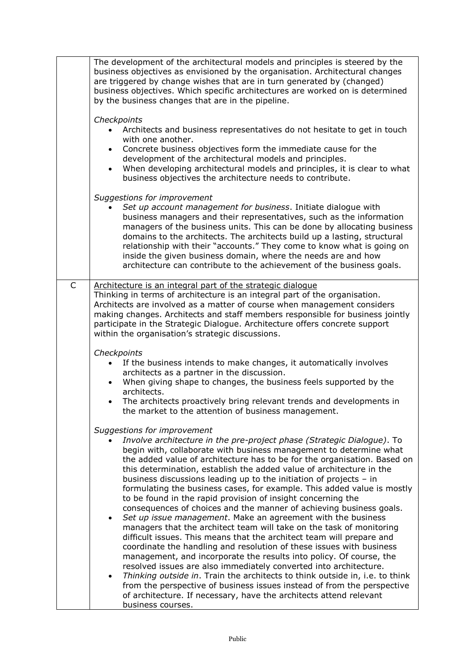|   | The development of the architectural models and principles is steered by the<br>business objectives as envisioned by the organisation. Architectural changes<br>are triggered by change wishes that are in turn generated by (changed)<br>business objectives. Which specific architectures are worked on is determined<br>by the business changes that are in the pipeline.                                                                                                                                                                                                               |
|---|--------------------------------------------------------------------------------------------------------------------------------------------------------------------------------------------------------------------------------------------------------------------------------------------------------------------------------------------------------------------------------------------------------------------------------------------------------------------------------------------------------------------------------------------------------------------------------------------|
|   | Checkpoints                                                                                                                                                                                                                                                                                                                                                                                                                                                                                                                                                                                |
|   | Architects and business representatives do not hesitate to get in touch<br>with one another.<br>Concrete business objectives form the immediate cause for the<br>development of the architectural models and principles.                                                                                                                                                                                                                                                                                                                                                                   |
|   | When developing architectural models and principles, it is clear to what<br>$\bullet$<br>business objectives the architecture needs to contribute.                                                                                                                                                                                                                                                                                                                                                                                                                                         |
|   |                                                                                                                                                                                                                                                                                                                                                                                                                                                                                                                                                                                            |
|   | Suggestions for improvement<br>Set up account management for business. Initiate dialogue with<br>business managers and their representatives, such as the information<br>managers of the business units. This can be done by allocating business<br>domains to the architects. The architects build up a lasting, structural<br>relationship with their "accounts." They come to know what is going on<br>inside the given business domain, where the needs are and how<br>architecture can contribute to the achievement of the business goals.                                           |
| C | Architecture is an integral part of the strategic dialogue                                                                                                                                                                                                                                                                                                                                                                                                                                                                                                                                 |
|   | Thinking in terms of architecture is an integral part of the organisation.<br>Architects are involved as a matter of course when management considers<br>making changes. Architects and staff members responsible for business jointly<br>participate in the Strategic Dialogue. Architecture offers concrete support<br>within the organisation's strategic discussions.                                                                                                                                                                                                                  |
|   | Checkpoints                                                                                                                                                                                                                                                                                                                                                                                                                                                                                                                                                                                |
|   | If the business intends to make changes, it automatically involves                                                                                                                                                                                                                                                                                                                                                                                                                                                                                                                         |
|   | architects as a partner in the discussion.                                                                                                                                                                                                                                                                                                                                                                                                                                                                                                                                                 |
|   | When giving shape to changes, the business feels supported by the<br>$\bullet$<br>architects.                                                                                                                                                                                                                                                                                                                                                                                                                                                                                              |
|   | The architects proactively bring relevant trends and developments in<br>the market to the attention of business management.                                                                                                                                                                                                                                                                                                                                                                                                                                                                |
|   | Suggestions for improvement                                                                                                                                                                                                                                                                                                                                                                                                                                                                                                                                                                |
|   | Involve architecture in the pre-project phase (Strategic Dialogue). To<br>begin with, collaborate with business management to determine what<br>the added value of architecture has to be for the organisation. Based on<br>this determination, establish the added value of architecture in the<br>business discussions leading up to the initiation of projects $-$ in<br>formulating the business cases, for example. This added value is mostly<br>to be found in the rapid provision of insight concerning the<br>consequences of choices and the manner of achieving business goals. |
|   | Set up issue management. Make an agreement with the business<br>managers that the architect team will take on the task of monitoring<br>difficult issues. This means that the architect team will prepare and<br>coordinate the handling and resolution of these issues with business<br>management, and incorporate the results into policy. Of course, the<br>resolved issues are also immediately converted into architecture.<br>Thinking outside in. Train the architects to think outside in, i.e. to think                                                                          |
|   | from the perspective of business issues instead of from the perspective<br>of architecture. If necessary, have the architects attend relevant<br>business courses.                                                                                                                                                                                                                                                                                                                                                                                                                         |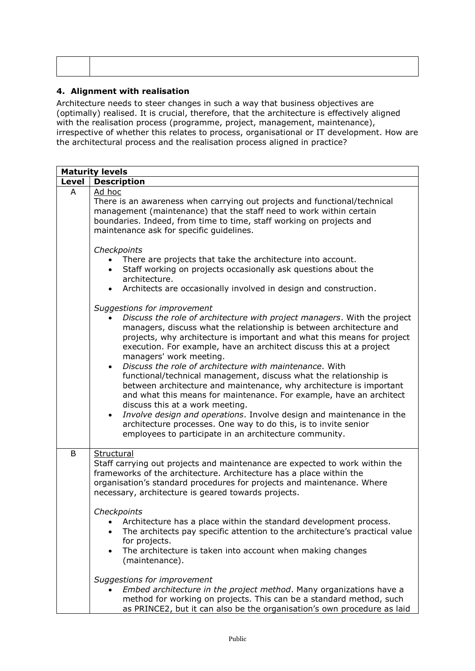٦

#### <span id="page-15-0"></span>**4. Alignment with realisation**

 $\Gamma$ 

 $\overline{\mathsf{T}}$ 

Architecture needs to steer changes in such a way that business objectives are (optimally) realised. It is crucial, therefore, that the architecture is effectively aligned with the realisation process (programme, project, management, maintenance), irrespective of whether this relates to process, organisational or IT development. How are the architectural process and the realisation process aligned in practice?

|       | <b>Maturity levels</b>                                                                                                                                                                                                                                                                                                                                                                                                                                                                                                                                                                                                                                                                                                                                                                                                                                                                         |
|-------|------------------------------------------------------------------------------------------------------------------------------------------------------------------------------------------------------------------------------------------------------------------------------------------------------------------------------------------------------------------------------------------------------------------------------------------------------------------------------------------------------------------------------------------------------------------------------------------------------------------------------------------------------------------------------------------------------------------------------------------------------------------------------------------------------------------------------------------------------------------------------------------------|
| Level | <b>Description</b>                                                                                                                                                                                                                                                                                                                                                                                                                                                                                                                                                                                                                                                                                                                                                                                                                                                                             |
| A     | Ad hoc<br>There is an awareness when carrying out projects and functional/technical<br>management (maintenance) that the staff need to work within certain<br>boundaries. Indeed, from time to time, staff working on projects and<br>maintenance ask for specific guidelines.                                                                                                                                                                                                                                                                                                                                                                                                                                                                                                                                                                                                                 |
|       | Checkpoints<br>There are projects that take the architecture into account.<br>Staff working on projects occasionally ask questions about the<br>$\bullet$<br>architecture.<br>Architects are occasionally involved in design and construction.                                                                                                                                                                                                                                                                                                                                                                                                                                                                                                                                                                                                                                                 |
|       | Suggestions for improvement<br>Discuss the role of architecture with project managers. With the project<br>managers, discuss what the relationship is between architecture and<br>projects, why architecture is important and what this means for project<br>execution. For example, have an architect discuss this at a project<br>managers' work meeting.<br>Discuss the role of architecture with maintenance. With<br>functional/technical management, discuss what the relationship is<br>between architecture and maintenance, why architecture is important<br>and what this means for maintenance. For example, have an architect<br>discuss this at a work meeting.<br>Involve design and operations. Involve design and maintenance in the<br>$\bullet$<br>architecture processes. One way to do this, is to invite senior<br>employees to participate in an architecture community. |
| B     | Structural<br>Staff carrying out projects and maintenance are expected to work within the<br>frameworks of the architecture. Architecture has a place within the<br>organisation's standard procedures for projects and maintenance. Where<br>necessary, architecture is geared towards projects.<br>Checkpoints<br>• Architecture has a place within the standard development process<br>The architects pay specific attention to the architecture's practical value<br>for projects.<br>The architecture is taken into account when making changes<br>$\bullet$                                                                                                                                                                                                                                                                                                                              |
|       | (maintenance).<br>Suggestions for improvement<br>Embed architecture in the project method. Many organizations have a<br>method for working on projects. This can be a standard method, such<br>as PRINCE2, but it can also be the organisation's own procedure as laid                                                                                                                                                                                                                                                                                                                                                                                                                                                                                                                                                                                                                         |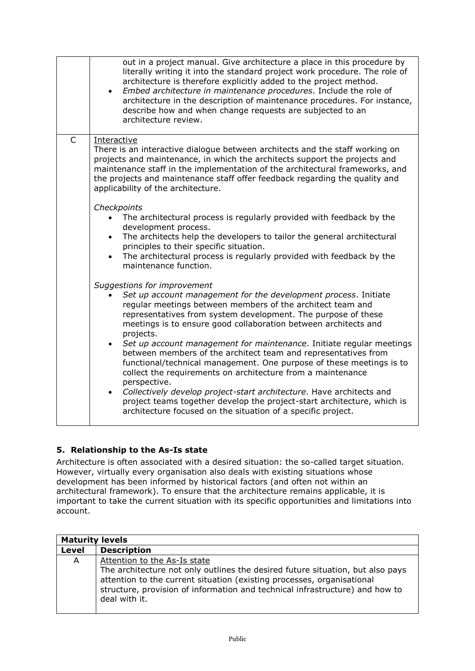|              | out in a project manual. Give architecture a place in this procedure by<br>literally writing it into the standard project work procedure. The role of<br>architecture is therefore explicitly added to the project method.<br>Embed architecture in maintenance procedures. Include the role of<br>$\bullet$<br>architecture in the description of maintenance procedures. For instance,<br>describe how and when change requests are subjected to an<br>architecture review.                 |
|--------------|-----------------------------------------------------------------------------------------------------------------------------------------------------------------------------------------------------------------------------------------------------------------------------------------------------------------------------------------------------------------------------------------------------------------------------------------------------------------------------------------------|
| $\mathsf{C}$ | Interactive<br>There is an interactive dialogue between architects and the staff working on<br>projects and maintenance, in which the architects support the projects and<br>maintenance staff in the implementation of the architectural frameworks, and<br>the projects and maintenance staff offer feedback regarding the quality and<br>applicability of the architecture.<br>Checkpoints<br>The architectural process is regularly provided with feedback by the<br>development process. |
|              | The architects help the developers to tailor the general architectural<br>$\bullet$<br>principles to their specific situation.<br>The architectural process is regularly provided with feedback by the<br>$\bullet$<br>maintenance function.                                                                                                                                                                                                                                                  |
|              | Suggestions for improvement<br>Set up account management for the development process. Initiate<br>regular meetings between members of the architect team and<br>representatives from system development. The purpose of these<br>meetings is to ensure good collaboration between architects and<br>projects.                                                                                                                                                                                 |
|              | Set up account management for maintenance. Initiate regular meetings<br>$\bullet$<br>between members of the architect team and representatives from<br>functional/technical management. One purpose of these meetings is to<br>collect the requirements on architecture from a maintenance<br>perspective.<br>Collectively develop project-start architecture. Have architects and<br>$\bullet$                                                                                               |
|              | project teams together develop the project-start architecture, which is<br>architecture focused on the situation of a specific project.                                                                                                                                                                                                                                                                                                                                                       |

#### <span id="page-16-0"></span>**5. Relationship to the As-Is state**

Architecture is often associated with a desired situation: the so-called target situation. However, virtually every organisation also deals with existing situations whose development has been informed by historical factors (and often not within an architectural framework). To ensure that the architecture remains applicable, it is important to take the current situation with its specific opportunities and limitations into account.

| <b>Maturity levels</b> |                                                                                                                                                                                                                                                           |
|------------------------|-----------------------------------------------------------------------------------------------------------------------------------------------------------------------------------------------------------------------------------------------------------|
| Level                  | <b>Description</b>                                                                                                                                                                                                                                        |
| A                      | Attention to the As-Is state                                                                                                                                                                                                                              |
|                        | The architecture not only outlines the desired future situation, but also pays<br>attention to the current situation (existing processes, organisational<br>structure, provision of information and technical infrastructure) and how to<br>deal with it. |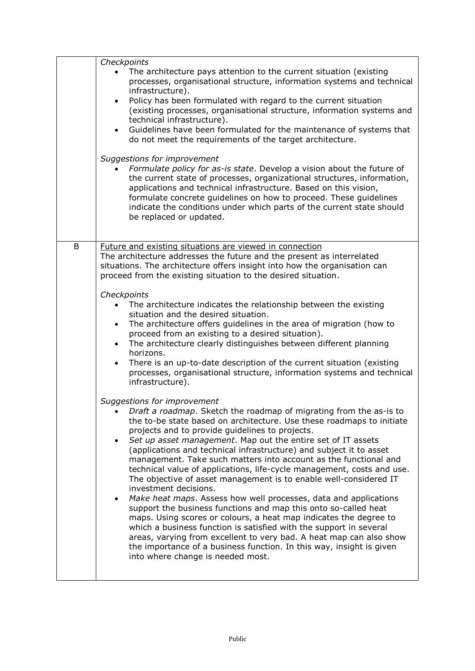|   | Checkpoints                                                                                                                                                                                                                                                                                                                                                                                                                                                                                                                                                                                                                                                                                                                                                                                                                                                                                                                                                                                                                                                                                                        |
|---|--------------------------------------------------------------------------------------------------------------------------------------------------------------------------------------------------------------------------------------------------------------------------------------------------------------------------------------------------------------------------------------------------------------------------------------------------------------------------------------------------------------------------------------------------------------------------------------------------------------------------------------------------------------------------------------------------------------------------------------------------------------------------------------------------------------------------------------------------------------------------------------------------------------------------------------------------------------------------------------------------------------------------------------------------------------------------------------------------------------------|
|   | The architecture pays attention to the current situation (existing<br>processes, organisational structure, information systems and technical<br>infrastructure).<br>Policy has been formulated with regard to the current situation<br>$\bullet$<br>(existing processes, organisational structure, information systems and<br>technical infrastructure).<br>Guidelines have been formulated for the maintenance of systems that<br>$\bullet$<br>do not meet the requirements of the target architecture.                                                                                                                                                                                                                                                                                                                                                                                                                                                                                                                                                                                                           |
|   | Suggestions for improvement<br>Formulate policy for as-is state. Develop a vision about the future of<br>the current state of processes, organizational structures, information,<br>applications and technical infrastructure. Based on this vision,<br>formulate concrete guidelines on how to proceed. These guidelines<br>indicate the conditions under which parts of the current state should<br>be replaced or updated.                                                                                                                                                                                                                                                                                                                                                                                                                                                                                                                                                                                                                                                                                      |
| B | Future and existing situations are viewed in connection<br>The architecture addresses the future and the present as interrelated<br>situations. The architecture offers insight into how the organisation can<br>proceed from the existing situation to the desired situation.                                                                                                                                                                                                                                                                                                                                                                                                                                                                                                                                                                                                                                                                                                                                                                                                                                     |
|   | Checkpoints<br>The architecture indicates the relationship between the existing<br>situation and the desired situation.<br>The architecture offers guidelines in the area of migration (how to<br>$\bullet$<br>proceed from an existing to a desired situation).<br>The architecture clearly distinguishes between different planning<br>$\bullet$<br>horizons.<br>There is an up-to-date description of the current situation (existing<br>$\bullet$<br>processes, organisational structure, information systems and technical<br>infrastructure).                                                                                                                                                                                                                                                                                                                                                                                                                                                                                                                                                                |
|   | Suggestions for improvement<br>• Draft a roadmap. Sketch the roadmap of migrating from the as-is to<br>the to-be state based on architecture. Use these roadmaps to initiate<br>projects and to provide quidelines to projects.<br>Set up asset management. Map out the entire set of IT assets<br>$\bullet$<br>(applications and technical infrastructure) and subject it to asset<br>management. Take such matters into account as the functional and<br>technical value of applications, life-cycle management, costs and use.<br>The objective of asset management is to enable well-considered IT<br>investment decisions.<br>Make heat maps. Assess how well processes, data and applications<br>$\bullet$<br>support the business functions and map this onto so-called heat<br>maps. Using scores or colours, a heat map indicates the degree to<br>which a business function is satisfied with the support in several<br>areas, varying from excellent to very bad. A heat map can also show<br>the importance of a business function. In this way, insight is given<br>into where change is needed most. |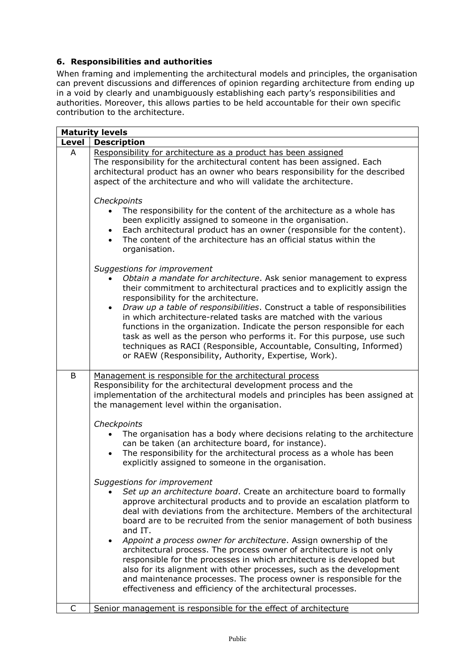#### <span id="page-18-0"></span>**6. Responsibilities and authorities**

When framing and implementing the architectural models and principles, the organisation can prevent discussions and differences of opinion regarding architecture from ending up in a void by clearly and unambiguously establishing each party's responsibilities and authorities. Moreover, this allows parties to be held accountable for their own specific contribution to the architecture.

|              | <b>Maturity levels</b>                                                                                                                                                                                                                                                                                                                                                                                                                                                                                                                                                                                                                                        |
|--------------|---------------------------------------------------------------------------------------------------------------------------------------------------------------------------------------------------------------------------------------------------------------------------------------------------------------------------------------------------------------------------------------------------------------------------------------------------------------------------------------------------------------------------------------------------------------------------------------------------------------------------------------------------------------|
| <b>Level</b> | <b>Description</b>                                                                                                                                                                                                                                                                                                                                                                                                                                                                                                                                                                                                                                            |
| A            | Responsibility for architecture as a product has been assigned<br>The responsibility for the architectural content has been assigned. Each<br>architectural product has an owner who bears responsibility for the described<br>aspect of the architecture and who will validate the architecture.                                                                                                                                                                                                                                                                                                                                                             |
|              | Checkpoints<br>The responsibility for the content of the architecture as a whole has<br>been explicitly assigned to someone in the organisation.<br>Each architectural product has an owner (responsible for the content).<br>• The content of the architecture has an official status within the<br>organisation.                                                                                                                                                                                                                                                                                                                                            |
|              | Suggestions for improvement<br>Obtain a mandate for architecture. Ask senior management to express<br>their commitment to architectural practices and to explicitly assign the<br>responsibility for the architecture.<br>Draw up a table of responsibilities. Construct a table of responsibilities<br>in which architecture-related tasks are matched with the various<br>functions in the organization. Indicate the person responsible for each<br>task as well as the person who performs it. For this purpose, use such<br>techniques as RACI (Responsible, Accountable, Consulting, Informed)<br>or RAEW (Responsibility, Authority, Expertise, Work). |
| B            | Management is responsible for the architectural process<br>Responsibility for the architectural development process and the<br>implementation of the architectural models and principles has been assigned at<br>the management level within the organisation.                                                                                                                                                                                                                                                                                                                                                                                                |
|              | Checkpoints<br>The organisation has a body where decisions relating to the architecture<br>can be taken (an architecture board, for instance).<br>The responsibility for the architectural process as a whole has been<br>explicitly assigned to someone in the organisation.                                                                                                                                                                                                                                                                                                                                                                                 |
|              | Suggestions for improvement<br>Set up an architecture board. Create an architecture board to formally<br>approve architectural products and to provide an escalation platform to<br>deal with deviations from the architecture. Members of the architectural<br>board are to be recruited from the senior management of both business<br>and IT.<br>Appoint a process owner for architecture. Assign ownership of the                                                                                                                                                                                                                                         |
|              | architectural process. The process owner of architecture is not only<br>responsible for the processes in which architecture is developed but<br>also for its alignment with other processes, such as the development<br>and maintenance processes. The process owner is responsible for the<br>effectiveness and efficiency of the architectural processes.                                                                                                                                                                                                                                                                                                   |
| C            | Senior management is responsible for the effect of architecture                                                                                                                                                                                                                                                                                                                                                                                                                                                                                                                                                                                               |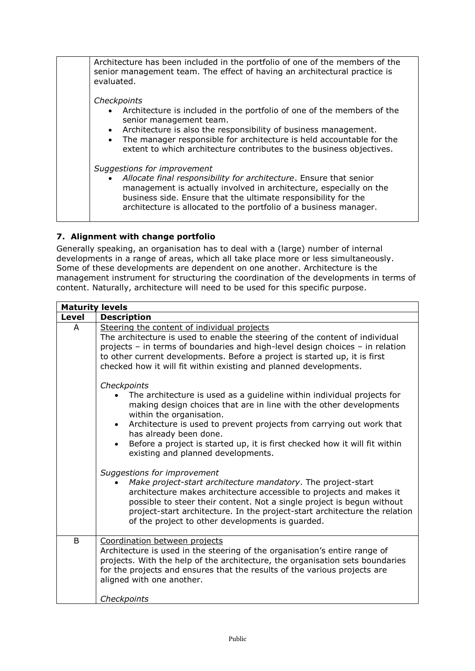| Architecture has been included in the portfolio of one of the members of the<br>senior management team. The effect of having an architectural practice is                                                               |
|-------------------------------------------------------------------------------------------------------------------------------------------------------------------------------------------------------------------------|
| evaluated.                                                                                                                                                                                                              |
| Checkpoints                                                                                                                                                                                                             |
| • Architecture is included in the portfolio of one of the members of the<br>senior management team.                                                                                                                     |
| Architecture is also the responsibility of business management.<br>$\bullet$<br>The manager responsible for architecture is held accountable for the<br>$\bullet$                                                       |
| extent to which architecture contributes to the business objectives.                                                                                                                                                    |
| Suggestions for improvement                                                                                                                                                                                             |
| Allocate final responsibility for architecture. Ensure that senior<br>$\bullet$<br>management is actually involved in architecture, especially on the<br>business side. Ensure that the ultimate responsibility for the |
| architecture is allocated to the portfolio of a business manager.                                                                                                                                                       |

#### <span id="page-19-0"></span>**7. Alignment with change portfolio**

Generally speaking, an organisation has to deal with a (large) number of internal developments in a range of areas, which all take place more or less simultaneously. Some of these developments are dependent on one another. Architecture is the management instrument for structuring the coordination of the developments in terms of content. Naturally, architecture will need to be used for this specific purpose.

| <b>Maturity levels</b> |                                                                                                                                                                                                                                                                                                                                                                                                                                         |  |
|------------------------|-----------------------------------------------------------------------------------------------------------------------------------------------------------------------------------------------------------------------------------------------------------------------------------------------------------------------------------------------------------------------------------------------------------------------------------------|--|
| Level                  | <b>Description</b>                                                                                                                                                                                                                                                                                                                                                                                                                      |  |
| A                      | Steering the content of individual projects<br>The architecture is used to enable the steering of the content of individual<br>projects - in terms of boundaries and high-level design choices - in relation<br>to other current developments. Before a project is started up, it is first<br>checked how it will fit within existing and planned developments.                                                                         |  |
|                        | Checkpoints<br>The architecture is used as a guideline within individual projects for<br>making design choices that are in line with the other developments<br>within the organisation.<br>Architecture is used to prevent projects from carrying out work that<br>$\bullet$<br>has already been done.<br>Before a project is started up, it is first checked how it will fit within<br>$\bullet$<br>existing and planned developments. |  |
|                        | Suggestions for improvement<br>Make project-start architecture mandatory. The project-start<br>architecture makes architecture accessible to projects and makes it<br>possible to steer their content. Not a single project is begun without<br>project-start architecture. In the project-start architecture the relation<br>of the project to other developments is guarded.                                                          |  |
| B                      | Coordination between projects<br>Architecture is used in the steering of the organisation's entire range of<br>projects. With the help of the architecture, the organisation sets boundaries<br>for the projects and ensures that the results of the various projects are<br>aligned with one another.                                                                                                                                  |  |
|                        | Checkpoints                                                                                                                                                                                                                                                                                                                                                                                                                             |  |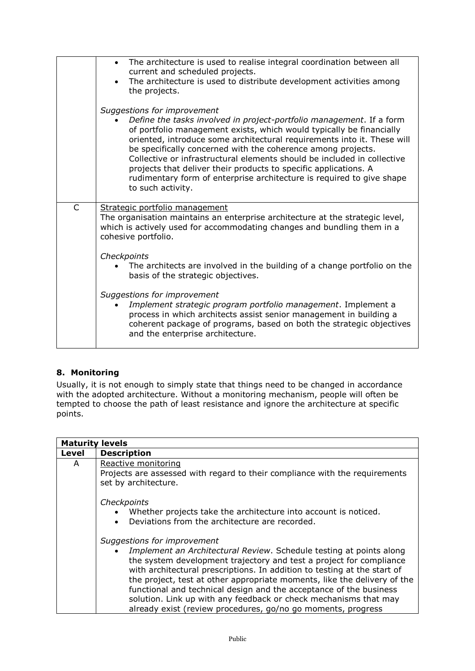|              | The architecture is used to realise integral coordination between all<br>$\bullet$<br>current and scheduled projects.<br>The architecture is used to distribute development activities among<br>the projects.                                                                                                                                                                                                                                                                                                                                                       |
|--------------|---------------------------------------------------------------------------------------------------------------------------------------------------------------------------------------------------------------------------------------------------------------------------------------------------------------------------------------------------------------------------------------------------------------------------------------------------------------------------------------------------------------------------------------------------------------------|
|              | Suggestions for improvement<br>Define the tasks involved in project-portfolio management. If a form<br>of portfolio management exists, which would typically be financially<br>oriented, introduce some architectural requirements into it. These will<br>be specifically concerned with the coherence among projects.<br>Collective or infrastructural elements should be included in collective<br>projects that deliver their products to specific applications. A<br>rudimentary form of enterprise architecture is required to give shape<br>to such activity. |
| $\mathsf{C}$ | Strategic portfolio management<br>The organisation maintains an enterprise architecture at the strategic level,<br>which is actively used for accommodating changes and bundling them in a<br>cohesive portfolio.                                                                                                                                                                                                                                                                                                                                                   |
|              | Checkpoints<br>The architects are involved in the building of a change portfolio on the<br>basis of the strategic objectives.                                                                                                                                                                                                                                                                                                                                                                                                                                       |
|              | Suggestions for improvement<br>Implement strategic program portfolio management. Implement a<br>process in which architects assist senior management in building a<br>coherent package of programs, based on both the strategic objectives<br>and the enterprise architecture.                                                                                                                                                                                                                                                                                      |

#### <span id="page-20-0"></span>**8. Monitoring**

Usually, it is not enough to simply state that things need to be changed in accordance with the adopted architecture. Without a monitoring mechanism, people will often be tempted to choose the path of least resistance and ignore the architecture at specific points.

| <b>Maturity levels</b> |                                                                                                                                                                                                                                                                                                                                                                                                                                                                                                                                             |
|------------------------|---------------------------------------------------------------------------------------------------------------------------------------------------------------------------------------------------------------------------------------------------------------------------------------------------------------------------------------------------------------------------------------------------------------------------------------------------------------------------------------------------------------------------------------------|
| Level                  | <b>Description</b>                                                                                                                                                                                                                                                                                                                                                                                                                                                                                                                          |
| A                      | Reactive monitoring<br>Projects are assessed with regard to their compliance with the requirements<br>set by architecture.                                                                                                                                                                                                                                                                                                                                                                                                                  |
|                        | Checkpoints<br>Whether projects take the architecture into account is noticed.<br>Deviations from the architecture are recorded.<br>$\bullet$                                                                                                                                                                                                                                                                                                                                                                                               |
|                        | Suggestions for improvement<br>Implement an Architectural Review. Schedule testing at points along<br>the system development trajectory and test a project for compliance<br>with architectural prescriptions. In addition to testing at the start of<br>the project, test at other appropriate moments, like the delivery of the<br>functional and technical design and the acceptance of the business<br>solution. Link up with any feedback or check mechanisms that may<br>already exist (review procedures, go/no go moments, progress |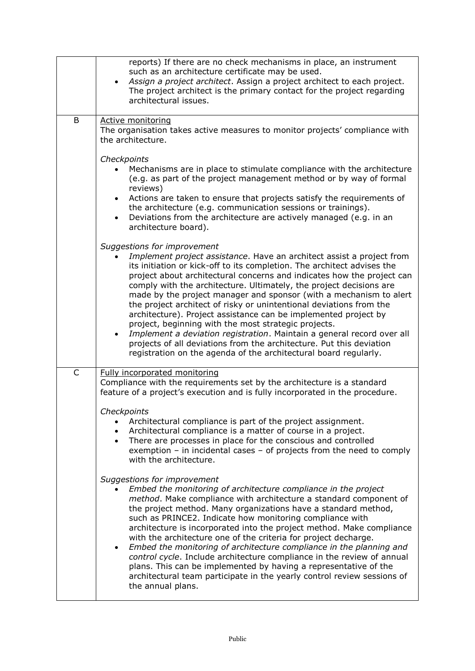|              | reports) If there are no check mechanisms in place, an instrument<br>such as an architecture certificate may be used.<br>Assign a project architect. Assign a project architect to each project.<br>The project architect is the primary contact for the project regarding<br>architectural issues.                                                                                                                                                                                                                                                                                                                                                                                                                                                                                                                            |
|--------------|--------------------------------------------------------------------------------------------------------------------------------------------------------------------------------------------------------------------------------------------------------------------------------------------------------------------------------------------------------------------------------------------------------------------------------------------------------------------------------------------------------------------------------------------------------------------------------------------------------------------------------------------------------------------------------------------------------------------------------------------------------------------------------------------------------------------------------|
| B            | Active monitoring<br>The organisation takes active measures to monitor projects' compliance with<br>the architecture.                                                                                                                                                                                                                                                                                                                                                                                                                                                                                                                                                                                                                                                                                                          |
|              | Checkpoints<br>Mechanisms are in place to stimulate compliance with the architecture<br>(e.g. as part of the project management method or by way of formal<br>reviews)<br>Actions are taken to ensure that projects satisfy the requirements of<br>$\bullet$<br>the architecture (e.g. communication sessions or trainings).<br>Deviations from the architecture are actively managed (e.g. in an<br>$\bullet$<br>architecture board).                                                                                                                                                                                                                                                                                                                                                                                         |
|              | Suggestions for improvement<br>Implement project assistance. Have an architect assist a project from<br>its initiation or kick-off to its completion. The architect advises the<br>project about architectural concerns and indicates how the project can<br>comply with the architecture. Ultimately, the project decisions are<br>made by the project manager and sponsor (with a mechanism to alert<br>the project architect of risky or unintentional deviations from the<br>architecture). Project assistance can be implemented project by<br>project, beginning with the most strategic projects.<br>Implement a deviation registration. Maintain a general record over all<br>projects of all deviations from the architecture. Put this deviation<br>registration on the agenda of the architectural board regularly. |
| $\mathsf{C}$ | Fully incorporated monitoring<br>Compliance with the requirements set by the architecture is a standard<br>feature of a project's execution and is fully incorporated in the procedure.                                                                                                                                                                                                                                                                                                                                                                                                                                                                                                                                                                                                                                        |
|              | Checknoints<br>Architectural compliance is part of the project assignment.<br>Architectural compliance is a matter of course in a project.<br>There are processes in place for the conscious and controlled<br>$\bullet$<br>exemption $-$ in incidental cases $-$ of projects from the need to comply<br>with the architecture.                                                                                                                                                                                                                                                                                                                                                                                                                                                                                                |
|              | Suggestions for improvement<br>Embed the monitoring of architecture compliance in the project<br>method. Make compliance with architecture a standard component of<br>the project method. Many organizations have a standard method,<br>such as PRINCE2. Indicate how monitoring compliance with<br>architecture is incorporated into the project method. Make compliance<br>with the architecture one of the criteria for project decharge.<br>Embed the monitoring of architecture compliance in the planning and<br>$\bullet$<br>control cycle. Include architecture compliance in the review of annual<br>plans. This can be implemented by having a representative of the<br>architectural team participate in the yearly control review sessions of<br>the annual plans.                                                 |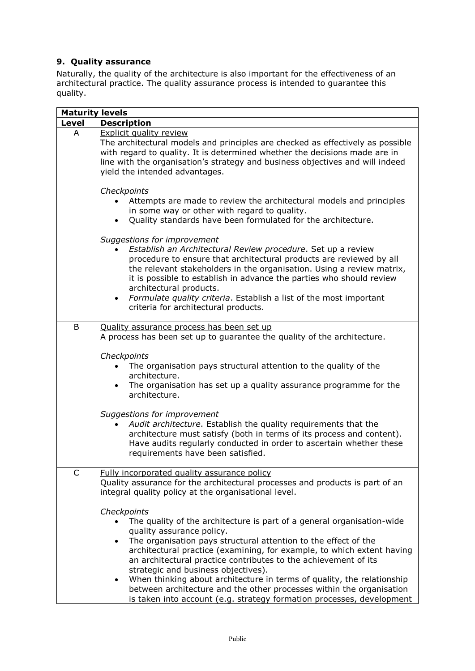#### <span id="page-22-0"></span>**9. Quality assurance**

 $\overline{a}$ 

Naturally, the quality of the architecture is also important for the effectiveness of an architectural practice. The quality assurance process is intended to guarantee this quality.

| <b>Maturity levels</b> |                                                                                                                                                                                                                                                                                                                                                                                                                                                                           |
|------------------------|---------------------------------------------------------------------------------------------------------------------------------------------------------------------------------------------------------------------------------------------------------------------------------------------------------------------------------------------------------------------------------------------------------------------------------------------------------------------------|
| Level                  | <b>Description</b>                                                                                                                                                                                                                                                                                                                                                                                                                                                        |
| A                      | <b>Explicit quality review</b><br>The architectural models and principles are checked as effectively as possible<br>with regard to quality. It is determined whether the decisions made are in<br>line with the organisation's strategy and business objectives and will indeed<br>yield the intended advantages.                                                                                                                                                         |
|                        | Checkpoints<br>Attempts are made to review the architectural models and principles<br>in some way or other with regard to quality.<br>Quality standards have been formulated for the architecture.                                                                                                                                                                                                                                                                        |
|                        | Suggestions for improvement<br>Establish an Architectural Review procedure. Set up a review<br>procedure to ensure that architectural products are reviewed by all<br>the relevant stakeholders in the organisation. Using a review matrix,<br>it is possible to establish in advance the parties who should review<br>architectural products.<br>Formulate quality criteria. Establish a list of the most important<br>$\bullet$<br>criteria for architectural products. |
| B                      | Quality assurance process has been set up                                                                                                                                                                                                                                                                                                                                                                                                                                 |
|                        | A process has been set up to guarantee the quality of the architecture.                                                                                                                                                                                                                                                                                                                                                                                                   |
|                        | Checkpoints                                                                                                                                                                                                                                                                                                                                                                                                                                                               |
|                        | The organisation pays structural attention to the quality of the<br>architecture.                                                                                                                                                                                                                                                                                                                                                                                         |
|                        | The organisation has set up a quality assurance programme for the<br>architecture.                                                                                                                                                                                                                                                                                                                                                                                        |
|                        | Suggestions for improvement<br>Audit architecture. Establish the quality requirements that the<br>architecture must satisfy (both in terms of its process and content).<br>Have audits regularly conducted in order to ascertain whether these<br>requirements have been satisfied.                                                                                                                                                                                       |
| C                      | Fully incorporated quality assurance policy<br>Quality assurance for the architectural processes and products is part of an                                                                                                                                                                                                                                                                                                                                               |
|                        | integral quality policy at the organisational level.                                                                                                                                                                                                                                                                                                                                                                                                                      |
|                        | Checkpoints                                                                                                                                                                                                                                                                                                                                                                                                                                                               |
|                        | The quality of the architecture is part of a general organisation-wide<br>quality assurance policy.                                                                                                                                                                                                                                                                                                                                                                       |
|                        | The organisation pays structural attention to the effect of the<br>$\bullet$                                                                                                                                                                                                                                                                                                                                                                                              |
|                        | architectural practice (examining, for example, to which extent having<br>an architectural practice contributes to the achievement of its                                                                                                                                                                                                                                                                                                                                 |
|                        | strategic and business objectives).                                                                                                                                                                                                                                                                                                                                                                                                                                       |
|                        | When thinking about architecture in terms of quality, the relationship<br>$\bullet$<br>between architecture and the other processes within the organisation<br>is taken into account (e.g. strategy formation processes, development                                                                                                                                                                                                                                      |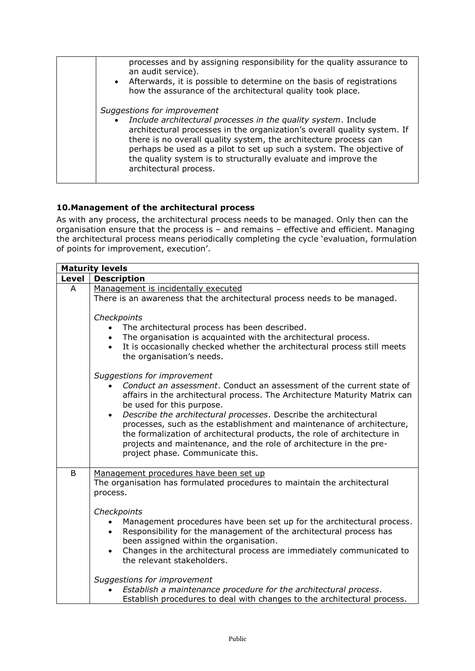| processes and by assigning responsibility for the quality assurance to<br>an audit service).<br>• Afterwards, it is possible to determine on the basis of registrations<br>how the assurance of the architectural quality took place.                                                                                                                                                                                          |
|--------------------------------------------------------------------------------------------------------------------------------------------------------------------------------------------------------------------------------------------------------------------------------------------------------------------------------------------------------------------------------------------------------------------------------|
| Suggestions for improvement<br>Include architectural processes in the quality system. Include<br>$\bullet$<br>architectural processes in the organization's overall quality system. If<br>there is no overall quality system, the architecture process can<br>perhaps be used as a pilot to set up such a system. The objective of<br>the quality system is to structurally evaluate and improve the<br>architectural process. |

#### <span id="page-23-0"></span>**10.Management of the architectural process**

As with any process, the architectural process needs to be managed. Only then can the organisation ensure that the process is – and remains – effective and efficient. Managing the architectural process means periodically completing the cycle 'evaluation, formulation of points for improvement, execution'.

|       | <b>Maturity levels</b>                                                                                                                                                                                                                                                                                                                                                                                                                                                                                                                                         |
|-------|----------------------------------------------------------------------------------------------------------------------------------------------------------------------------------------------------------------------------------------------------------------------------------------------------------------------------------------------------------------------------------------------------------------------------------------------------------------------------------------------------------------------------------------------------------------|
| Level | <b>Description</b>                                                                                                                                                                                                                                                                                                                                                                                                                                                                                                                                             |
| A     | Management is incidentally executed<br>There is an awareness that the architectural process needs to be managed.                                                                                                                                                                                                                                                                                                                                                                                                                                               |
|       | Checkpoints<br>The architectural process has been described.<br>The organisation is acquainted with the architectural process.<br>$\bullet$<br>It is occasionally checked whether the architectural process still meets<br>the organisation's needs.                                                                                                                                                                                                                                                                                                           |
|       | Suggestions for improvement<br>Conduct an assessment. Conduct an assessment of the current state of<br>affairs in the architectural process. The Architecture Maturity Matrix can<br>be used for this purpose.<br>Describe the architectural processes. Describe the architectural<br>$\bullet$<br>processes, such as the establishment and maintenance of architecture,<br>the formalization of architectural products, the role of architecture in<br>projects and maintenance, and the role of architecture in the pre-<br>project phase. Communicate this. |
| B     | Management procedures have been set up<br>The organisation has formulated procedures to maintain the architectural<br>process.                                                                                                                                                                                                                                                                                                                                                                                                                                 |
|       | Checkpoints<br>Management procedures have been set up for the architectural process.<br>Responsibility for the management of the architectural process has<br>been assigned within the organisation.<br>Changes in the architectural process are immediately communicated to<br>$\bullet$<br>the relevant stakeholders.                                                                                                                                                                                                                                        |
|       | Suggestions for improvement<br>Establish a maintenance procedure for the architectural process.<br>Establish procedures to deal with changes to the architectural process.                                                                                                                                                                                                                                                                                                                                                                                     |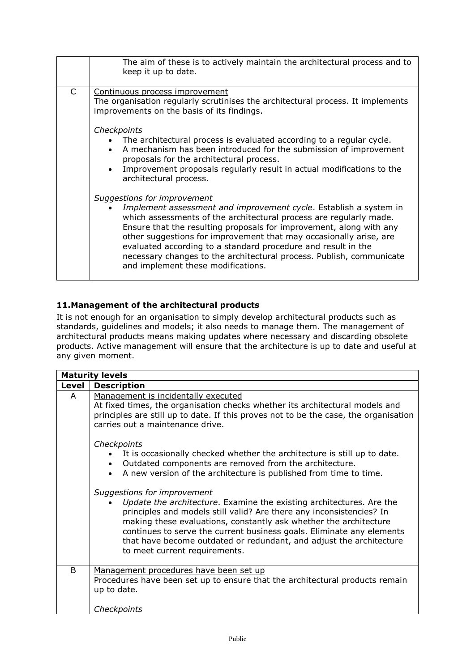|   | The aim of these is to actively maintain the architectural process and to<br>keep it up to date.                                                                                                                                                                                                                                                                                                                                                                                                   |
|---|----------------------------------------------------------------------------------------------------------------------------------------------------------------------------------------------------------------------------------------------------------------------------------------------------------------------------------------------------------------------------------------------------------------------------------------------------------------------------------------------------|
| C | Continuous process improvement<br>The organisation regularly scrutinises the architectural process. It implements<br>improvements on the basis of its findings.                                                                                                                                                                                                                                                                                                                                    |
|   | Checkpoints<br>The architectural process is evaluated according to a regular cycle.<br>A mechanism has been introduced for the submission of improvement<br>proposals for the architectural process.<br>Improvement proposals regularly result in actual modifications to the<br>architectural process.                                                                                                                                                                                            |
|   | Suggestions for improvement<br>Implement assessment and improvement cycle. Establish a system in<br>which assessments of the architectural process are regularly made.<br>Ensure that the resulting proposals for improvement, along with any<br>other suggestions for improvement that may occasionally arise, are<br>evaluated according to a standard procedure and result in the<br>necessary changes to the architectural process. Publish, communicate<br>and implement these modifications. |

#### <span id="page-24-0"></span>**11.Management of the architectural products**

It is not enough for an organisation to simply develop architectural products such as standards, guidelines and models; it also needs to manage them. The management of architectural products means making updates where necessary and discarding obsolete products. Active management will ensure that the architecture is up to date and useful at any given moment.

|       | <b>Maturity levels</b>                                                                                                                                                                                                                                                                                                                                                                                                            |
|-------|-----------------------------------------------------------------------------------------------------------------------------------------------------------------------------------------------------------------------------------------------------------------------------------------------------------------------------------------------------------------------------------------------------------------------------------|
| Level | <b>Description</b>                                                                                                                                                                                                                                                                                                                                                                                                                |
| A     | Management is incidentally executed<br>At fixed times, the organisation checks whether its architectural models and<br>principles are still up to date. If this proves not to be the case, the organisation<br>carries out a maintenance drive.                                                                                                                                                                                   |
|       | Checkpoints<br>It is occasionally checked whether the architecture is still up to date.<br>Outdated components are removed from the architecture.<br>A new version of the architecture is published from time to time.                                                                                                                                                                                                            |
|       | Suggestions for improvement<br>Update the architecture. Examine the existing architectures. Are the<br>principles and models still valid? Are there any inconsistencies? In<br>making these evaluations, constantly ask whether the architecture<br>continues to serve the current business goals. Eliminate any elements<br>that have become outdated or redundant, and adjust the architecture<br>to meet current requirements. |
| B     | Management procedures have been set up<br>Procedures have been set up to ensure that the architectural products remain<br>up to date.                                                                                                                                                                                                                                                                                             |
|       | Checkpoints                                                                                                                                                                                                                                                                                                                                                                                                                       |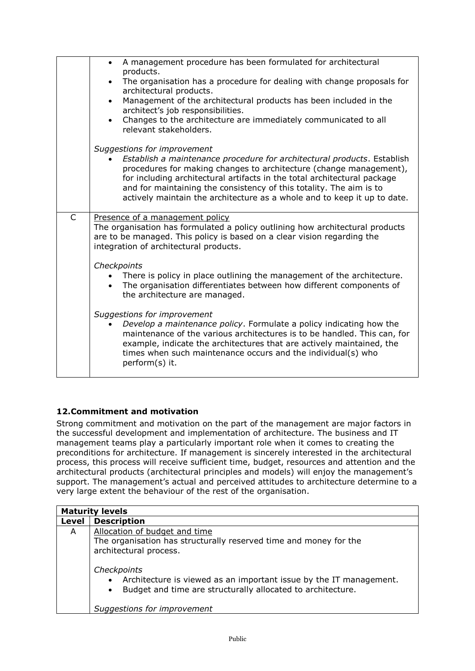|              | A management procedure has been formulated for architectural<br>$\bullet$<br>products.                                                                                                                                                                                                                                                                                       |
|--------------|------------------------------------------------------------------------------------------------------------------------------------------------------------------------------------------------------------------------------------------------------------------------------------------------------------------------------------------------------------------------------|
|              | The organisation has a procedure for dealing with change proposals for<br>$\bullet$<br>architectural products.                                                                                                                                                                                                                                                               |
|              | Management of the architectural products has been included in the<br>$\bullet$<br>architect's job responsibilities.                                                                                                                                                                                                                                                          |
|              | Changes to the architecture are immediately communicated to all<br>$\bullet$<br>relevant stakeholders.                                                                                                                                                                                                                                                                       |
|              | Suggestions for improvement                                                                                                                                                                                                                                                                                                                                                  |
|              | Establish a maintenance procedure for architectural products. Establish<br>procedures for making changes to architecture (change management),<br>for including architectural artifacts in the total architectural package<br>and for maintaining the consistency of this totality. The aim is to<br>actively maintain the architecture as a whole and to keep it up to date. |
| $\mathsf{C}$ | Presence of a management policy<br>The organisation has formulated a policy outlining how architectural products<br>are to be managed. This policy is based on a clear vision regarding the<br>integration of architectural products.                                                                                                                                        |
|              | Checkpoints                                                                                                                                                                                                                                                                                                                                                                  |
|              | There is policy in place outlining the management of the architecture.<br>The organisation differentiates between how different components of<br>the architecture are managed.                                                                                                                                                                                               |
|              | Suggestions for improvement<br>Develop a maintenance policy. Formulate a policy indicating how the<br>maintenance of the various architectures is to be handled. This can, for<br>example, indicate the architectures that are actively maintained, the<br>times when such maintenance occurs and the individual(s) who<br>perform(s) it.                                    |
|              |                                                                                                                                                                                                                                                                                                                                                                              |

#### <span id="page-25-0"></span>**12.Commitment and motivation**

Strong commitment and motivation on the part of the management are major factors in the successful development and implementation of architecture. The business and IT management teams play a particularly important role when it comes to creating the preconditions for architecture. If management is sincerely interested in the architectural process, this process will receive sufficient time, budget, resources and attention and the architectural products (architectural principles and models) will enjoy the management's support. The management's actual and perceived attitudes to architecture determine to a very large extent the behaviour of the rest of the organisation.

| Level |                                                                                                                                                                                 |
|-------|---------------------------------------------------------------------------------------------------------------------------------------------------------------------------------|
|       | <b>Description</b>                                                                                                                                                              |
| A     | Allocation of budget and time<br>The organisation has structurally reserved time and money for the<br>architectural process.                                                    |
|       | Checkpoints<br>Architecture is viewed as an important issue by the IT management.<br>Budget and time are structurally allocated to architecture.<br>Suggestions for improvement |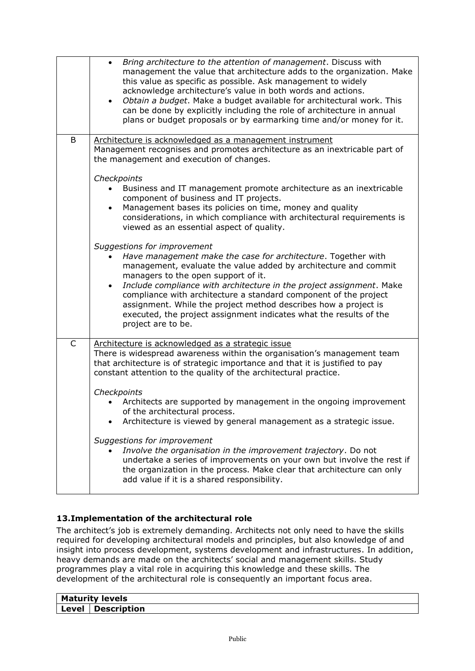|              | Bring architecture to the attention of management. Discuss with<br>$\bullet$<br>management the value that architecture adds to the organization. Make<br>this value as specific as possible. Ask management to widely<br>acknowledge architecture's value in both words and actions.<br>Obtain a budget. Make a budget available for architectural work. This<br>can be done by explicitly including the role of architecture in annual<br>plans or budget proposals or by earmarking time and/or money for it. |
|--------------|-----------------------------------------------------------------------------------------------------------------------------------------------------------------------------------------------------------------------------------------------------------------------------------------------------------------------------------------------------------------------------------------------------------------------------------------------------------------------------------------------------------------|
| B            | Architecture is acknowledged as a management instrument                                                                                                                                                                                                                                                                                                                                                                                                                                                         |
|              | Management recognises and promotes architecture as an inextricable part of<br>the management and execution of changes.                                                                                                                                                                                                                                                                                                                                                                                          |
|              | Checkpoints                                                                                                                                                                                                                                                                                                                                                                                                                                                                                                     |
|              | Business and IT management promote architecture as an inextricable<br>component of business and IT projects.                                                                                                                                                                                                                                                                                                                                                                                                    |
|              | Management bases its policies on time, money and quality<br>$\bullet$<br>considerations, in which compliance with architectural requirements is<br>viewed as an essential aspect of quality.                                                                                                                                                                                                                                                                                                                    |
|              | Suggestions for improvement<br>Have management make the case for architecture. Together with<br>management, evaluate the value added by architecture and commit<br>managers to the open support of it.                                                                                                                                                                                                                                                                                                          |
|              | Include compliance with architecture in the project assignment. Make<br>$\bullet$<br>compliance with architecture a standard component of the project<br>assignment. While the project method describes how a project is<br>executed, the project assignment indicates what the results of the<br>project are to be.                                                                                                                                                                                            |
| $\mathsf{C}$ | Architecture is acknowledged as a strategic issue<br>There is widespread awareness within the organisation's management team<br>that architecture is of strategic importance and that it is justified to pay<br>constant attention to the quality of the architectural practice.                                                                                                                                                                                                                                |
|              | Checkpoints                                                                                                                                                                                                                                                                                                                                                                                                                                                                                                     |
|              | Architects are supported by management in the ongoing improvement<br>of the architectural process.<br>Architecture is viewed by general management as a strategic issue.                                                                                                                                                                                                                                                                                                                                        |
|              | Suggestions for improvement<br>Involve the organisation in the improvement trajectory. Do not<br>undertake a series of improvements on your own but involve the rest if<br>the organization in the process. Make clear that architecture can only<br>add value if it is a shared responsibility.                                                                                                                                                                                                                |

#### <span id="page-26-0"></span>**13.Implementation of the architectural role**

The architect's job is extremely demanding. Architects not only need to have the skills required for developing architectural models and principles, but also knowledge of and insight into process development, systems development and infrastructures. In addition, heavy demands are made on the architects' social and management skills. Study programmes play a vital role in acquiring this knowledge and these skills. The development of the architectural role is consequently an important focus area.

| <b>Maturity levels</b> |                    |
|------------------------|--------------------|
| Level                  | <b>Description</b> |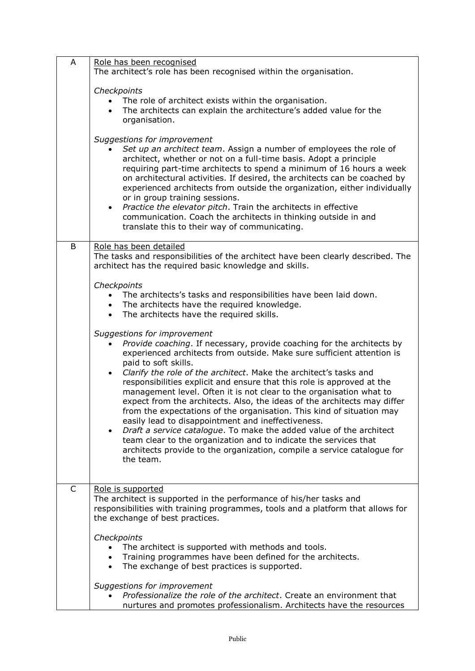| A | Role has been recognised                                                                                                                                                                                                                                                                                                                                                                                                                                                               |
|---|----------------------------------------------------------------------------------------------------------------------------------------------------------------------------------------------------------------------------------------------------------------------------------------------------------------------------------------------------------------------------------------------------------------------------------------------------------------------------------------|
|   | The architect's role has been recognised within the organisation.                                                                                                                                                                                                                                                                                                                                                                                                                      |
|   | Checkpoints                                                                                                                                                                                                                                                                                                                                                                                                                                                                            |
|   | The role of architect exists within the organisation.                                                                                                                                                                                                                                                                                                                                                                                                                                  |
|   | The architects can explain the architecture's added value for the                                                                                                                                                                                                                                                                                                                                                                                                                      |
|   | organisation.                                                                                                                                                                                                                                                                                                                                                                                                                                                                          |
|   | Suggestions for improvement<br>Set up an architect team. Assign a number of employees the role of                                                                                                                                                                                                                                                                                                                                                                                      |
|   | architect, whether or not on a full-time basis. Adopt a principle<br>requiring part-time architects to spend a minimum of 16 hours a week<br>on architectural activities. If desired, the architects can be coached by<br>experienced architects from outside the organization, either individually<br>or in group training sessions.<br>Practice the elevator pitch. Train the architects in effective<br>$\bullet$<br>communication. Coach the architects in thinking outside in and |
|   | translate this to their way of communicating.                                                                                                                                                                                                                                                                                                                                                                                                                                          |
| B | Role has been detailed                                                                                                                                                                                                                                                                                                                                                                                                                                                                 |
|   | The tasks and responsibilities of the architect have been clearly described. The<br>architect has the required basic knowledge and skills.                                                                                                                                                                                                                                                                                                                                             |
|   | Checkpoints                                                                                                                                                                                                                                                                                                                                                                                                                                                                            |
|   | The architects's tasks and responsibilities have been laid down.                                                                                                                                                                                                                                                                                                                                                                                                                       |
|   | • The architects have the required knowledge.                                                                                                                                                                                                                                                                                                                                                                                                                                          |
|   | The architects have the required skills.                                                                                                                                                                                                                                                                                                                                                                                                                                               |
|   | Suggestions for improvement                                                                                                                                                                                                                                                                                                                                                                                                                                                            |
|   | Provide coaching. If necessary, provide coaching for the architects by                                                                                                                                                                                                                                                                                                                                                                                                                 |
|   | experienced architects from outside. Make sure sufficient attention is                                                                                                                                                                                                                                                                                                                                                                                                                 |
|   | paid to soft skills.<br>Clarify the role of the architect. Make the architect's tasks and<br>$\bullet$                                                                                                                                                                                                                                                                                                                                                                                 |
|   | responsibilities explicit and ensure that this role is approved at the                                                                                                                                                                                                                                                                                                                                                                                                                 |
|   | management level. Often it is not clear to the organisation what to                                                                                                                                                                                                                                                                                                                                                                                                                    |
|   | expect from the architects. Also, the ideas of the architects may differ                                                                                                                                                                                                                                                                                                                                                                                                               |
|   | from the expectations of the organisation. This kind of situation may                                                                                                                                                                                                                                                                                                                                                                                                                  |
|   | easily lead to disappointment and ineffectiveness.<br>Draft a service catalogue. To make the added value of the architect<br>$\bullet$                                                                                                                                                                                                                                                                                                                                                 |
|   | team clear to the organization and to indicate the services that                                                                                                                                                                                                                                                                                                                                                                                                                       |
|   | architects provide to the organization, compile a service catalogue for                                                                                                                                                                                                                                                                                                                                                                                                                |
|   | the team.                                                                                                                                                                                                                                                                                                                                                                                                                                                                              |
|   |                                                                                                                                                                                                                                                                                                                                                                                                                                                                                        |
| C | Role is supported                                                                                                                                                                                                                                                                                                                                                                                                                                                                      |
|   | The architect is supported in the performance of his/her tasks and                                                                                                                                                                                                                                                                                                                                                                                                                     |
|   | responsibilities with training programmes, tools and a platform that allows for<br>the exchange of best practices.                                                                                                                                                                                                                                                                                                                                                                     |
|   | Checkpoints                                                                                                                                                                                                                                                                                                                                                                                                                                                                            |
|   | The architect is supported with methods and tools.                                                                                                                                                                                                                                                                                                                                                                                                                                     |
|   | Training programmes have been defined for the architects.                                                                                                                                                                                                                                                                                                                                                                                                                              |
|   | The exchange of best practices is supported.<br>$\bullet$                                                                                                                                                                                                                                                                                                                                                                                                                              |
|   | Suggestions for improvement                                                                                                                                                                                                                                                                                                                                                                                                                                                            |
|   | Professionalize the role of the architect. Create an environment that                                                                                                                                                                                                                                                                                                                                                                                                                  |
|   | nurtures and promotes professionalism. Architects have the resources                                                                                                                                                                                                                                                                                                                                                                                                                   |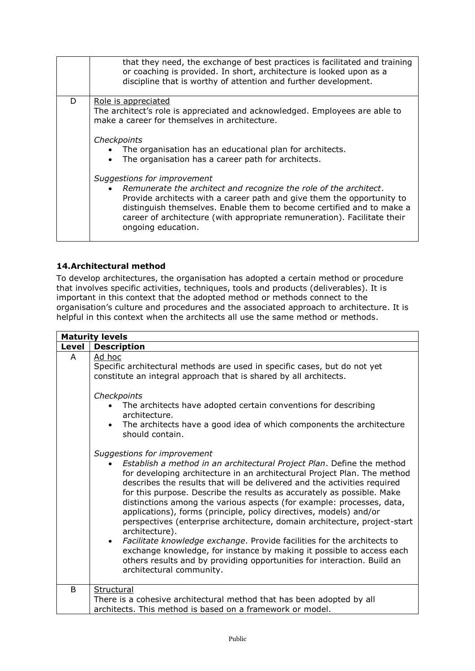|   | that they need, the exchange of best practices is facilitated and training<br>or coaching is provided. In short, architecture is looked upon as a<br>discipline that is worthy of attention and further development.                              |
|---|---------------------------------------------------------------------------------------------------------------------------------------------------------------------------------------------------------------------------------------------------|
| D | Role is appreciated                                                                                                                                                                                                                               |
|   | The architect's role is appreciated and acknowledged. Employees are able to<br>make a career for themselves in architecture.                                                                                                                      |
|   |                                                                                                                                                                                                                                                   |
|   | Checkpoints                                                                                                                                                                                                                                       |
|   | The organisation has an educational plan for architects.                                                                                                                                                                                          |
|   | The organisation has a career path for architects.                                                                                                                                                                                                |
|   | Suggestions for improvement                                                                                                                                                                                                                       |
|   | • Remunerate the architect and recognize the role of the architect.                                                                                                                                                                               |
|   | Provide architects with a career path and give them the opportunity to<br>distinguish themselves. Enable them to become certified and to make a<br>career of architecture (with appropriate remuneration). Facilitate their<br>ongoing education. |
|   |                                                                                                                                                                                                                                                   |

#### <span id="page-28-0"></span>**14.Architectural method**

To develop architectures, the organisation has adopted a certain method or procedure that involves specific activities, techniques, tools and products (deliverables). It is important in this context that the adopted method or methods connect to the organisation's culture and procedures and the associated approach to architecture. It is helpful in this context when the architects all use the same method or methods.

|              | <b>Maturity levels</b>                                                                                                                                                                                                                                                                                                                                                                                                                                                                                                                                                                                                                                                                                                                                                                                                                           |
|--------------|--------------------------------------------------------------------------------------------------------------------------------------------------------------------------------------------------------------------------------------------------------------------------------------------------------------------------------------------------------------------------------------------------------------------------------------------------------------------------------------------------------------------------------------------------------------------------------------------------------------------------------------------------------------------------------------------------------------------------------------------------------------------------------------------------------------------------------------------------|
| Level        | <b>Description</b>                                                                                                                                                                                                                                                                                                                                                                                                                                                                                                                                                                                                                                                                                                                                                                                                                               |
| A            | Ad hoc<br>Specific architectural methods are used in specific cases, but do not yet<br>constitute an integral approach that is shared by all architects.                                                                                                                                                                                                                                                                                                                                                                                                                                                                                                                                                                                                                                                                                         |
|              | Checkpoints<br>The architects have adopted certain conventions for describing<br>architecture.<br>The architects have a good idea of which components the architecture<br>should contain.                                                                                                                                                                                                                                                                                                                                                                                                                                                                                                                                                                                                                                                        |
|              | Suggestions for improvement<br>Establish a method in an architectural Project Plan. Define the method<br>for developing architecture in an architectural Project Plan. The method<br>describes the results that will be delivered and the activities required<br>for this purpose. Describe the results as accurately as possible. Make<br>distinctions among the various aspects (for example: processes, data,<br>applications), forms (principle, policy directives, models) and/or<br>perspectives (enterprise architecture, domain architecture, project-start<br>architecture).<br>Facilitate knowledge exchange. Provide facilities for the architects to<br>exchange knowledge, for instance by making it possible to access each<br>others results and by providing opportunities for interaction. Build an<br>architectural community. |
| <sub>B</sub> | Structural<br>There is a cohesive architectural method that has been adopted by all<br>architects. This method is based on a framework or model.                                                                                                                                                                                                                                                                                                                                                                                                                                                                                                                                                                                                                                                                                                 |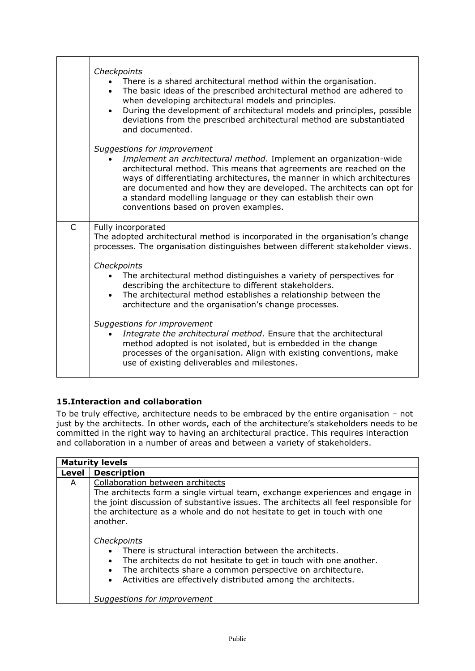|              | Checkpoints<br>• There is a shared architectural method within the organisation.<br>The basic ideas of the prescribed architectural method are adhered to<br>when developing architectural models and principles.<br>During the development of architectural models and principles, possible<br>deviations from the prescribed architectural method are substantiated<br>and documented.                                                                           |
|--------------|--------------------------------------------------------------------------------------------------------------------------------------------------------------------------------------------------------------------------------------------------------------------------------------------------------------------------------------------------------------------------------------------------------------------------------------------------------------------|
|              | Suggestions for improvement<br>Implement an architectural method. Implement an organization-wide<br>architectural method. This means that agreements are reached on the<br>ways of differentiating architectures, the manner in which architectures<br>are documented and how they are developed. The architects can opt for<br>a standard modelling language or they can establish their own<br>conventions based on proven examples.                             |
| $\mathsf{C}$ | Fully incorporated<br>The adopted architectural method is incorporated in the organisation's change<br>processes. The organisation distinguishes between different stakeholder views.<br>Checkpoints<br>The architectural method distinguishes a variety of perspectives for<br>describing the architecture to different stakeholders.<br>The architectural method establishes a relationship between the<br>architecture and the organisation's change processes. |
|              | Suggestions for improvement<br>Integrate the architectural method. Ensure that the architectural<br>method adopted is not isolated, but is embedded in the change<br>processes of the organisation. Align with existing conventions, make<br>use of existing deliverables and milestones.                                                                                                                                                                          |

#### <span id="page-29-0"></span>**15.Interaction and collaboration**

To be truly effective, architecture needs to be embraced by the entire organisation – not just by the architects. In other words, each of the architecture's stakeholders needs to be committed in the right way to having an architectural practice. This requires interaction and collaboration in a number of areas and between a variety of stakeholders.

|       | <b>Maturity levels</b>                                                                                                                                                                                                                                                                                                                                                                                                                                                                                                                                                       |
|-------|------------------------------------------------------------------------------------------------------------------------------------------------------------------------------------------------------------------------------------------------------------------------------------------------------------------------------------------------------------------------------------------------------------------------------------------------------------------------------------------------------------------------------------------------------------------------------|
| Level | <b>Description</b>                                                                                                                                                                                                                                                                                                                                                                                                                                                                                                                                                           |
| A     | Collaboration between architects<br>The architects form a single virtual team, exchange experiences and engage in<br>the joint discussion of substantive issues. The architects all feel responsible for<br>the architecture as a whole and do not hesitate to get in touch with one<br>another.<br>Checkpoints<br>There is structural interaction between the architects.<br>The architects do not hesitate to get in touch with one another.<br>The architects share a common perspective on architecture.<br>Activities are effectively distributed among the architects. |
|       | Suggestions for improvement                                                                                                                                                                                                                                                                                                                                                                                                                                                                                                                                                  |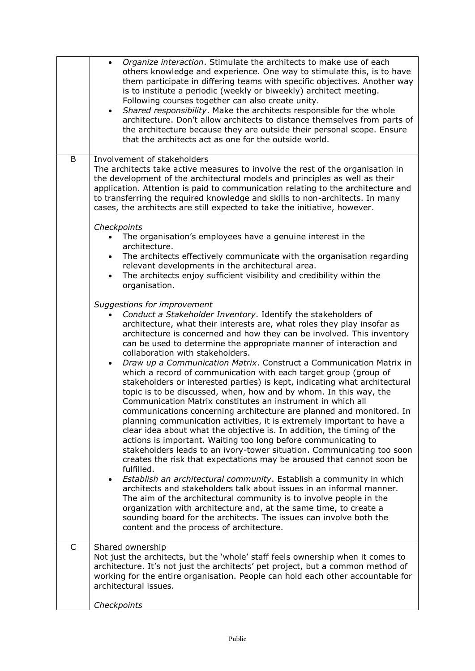|   | Organize interaction. Stimulate the architects to make use of each<br>others knowledge and experience. One way to stimulate this, is to have<br>them participate in differing teams with specific objectives. Another way<br>is to institute a periodic (weekly or biweekly) architect meeting.<br>Following courses together can also create unity.<br>Shared responsibility. Make the architects responsible for the whole<br>architecture. Don't allow architects to distance themselves from parts of<br>the architecture because they are outside their personal scope. Ensure<br>that the architects act as one for the outside world. |
|---|----------------------------------------------------------------------------------------------------------------------------------------------------------------------------------------------------------------------------------------------------------------------------------------------------------------------------------------------------------------------------------------------------------------------------------------------------------------------------------------------------------------------------------------------------------------------------------------------------------------------------------------------|
| B | Involvement of stakeholders                                                                                                                                                                                                                                                                                                                                                                                                                                                                                                                                                                                                                  |
|   | The architects take active measures to involve the rest of the organisation in<br>the development of the architectural models and principles as well as their<br>application. Attention is paid to communication relating to the architecture and<br>to transferring the required knowledge and skills to non-architects. In many<br>cases, the architects are still expected to take the initiative, however.                                                                                                                                                                                                                               |
|   | Checkpoints                                                                                                                                                                                                                                                                                                                                                                                                                                                                                                                                                                                                                                  |
|   | The organisation's employees have a genuine interest in the                                                                                                                                                                                                                                                                                                                                                                                                                                                                                                                                                                                  |
|   | architecture.<br>The architects effectively communicate with the organisation regarding<br>$\bullet$                                                                                                                                                                                                                                                                                                                                                                                                                                                                                                                                         |
|   | relevant developments in the architectural area.                                                                                                                                                                                                                                                                                                                                                                                                                                                                                                                                                                                             |
|   | The architects enjoy sufficient visibility and credibility within the<br>$\bullet$<br>organisation.                                                                                                                                                                                                                                                                                                                                                                                                                                                                                                                                          |
|   | Suggestions for improvement                                                                                                                                                                                                                                                                                                                                                                                                                                                                                                                                                                                                                  |
|   | Conduct a Stakeholder Inventory. Identify the stakeholders of                                                                                                                                                                                                                                                                                                                                                                                                                                                                                                                                                                                |
|   | architecture, what their interests are, what roles they play insofar as<br>architecture is concerned and how they can be involved. This inventory<br>can be used to determine the appropriate manner of interaction and<br>collaboration with stakeholders.                                                                                                                                                                                                                                                                                                                                                                                  |
|   | Draw up a Communication Matrix. Construct a Communication Matrix in<br>$\bullet$<br>which a record of communication with each target group (group of<br>stakeholders or interested parties) is kept, indicating what architectural<br>topic is to be discussed, when, how and by whom. In this way, the<br>Communication Matrix constitutes an instrument in which all                                                                                                                                                                                                                                                                       |
|   | communications concerning architecture are planned and monitored. In<br>planning communication activities, it is extremely important to have a<br>clear idea about what the objective is. In addition, the timing of the<br>actions is important. Waiting too long before communicating to<br>stakeholders leads to an ivory-tower situation. Communicating too soon<br>creates the risk that expectations may be aroused that cannot soon be<br>fulfilled.                                                                                                                                                                                  |
|   | Establish an architectural community. Establish a community in which<br>$\bullet$<br>architects and stakeholders talk about issues in an informal manner.<br>The aim of the architectural community is to involve people in the<br>organization with architecture and, at the same time, to create a                                                                                                                                                                                                                                                                                                                                         |
|   | sounding board for the architects. The issues can involve both the<br>content and the process of architecture.                                                                                                                                                                                                                                                                                                                                                                                                                                                                                                                               |
| C | Shared ownership<br>Not just the architects, but the 'whole' staff feels ownership when it comes to<br>architecture. It's not just the architects' pet project, but a common method of<br>working for the entire organisation. People can hold each other accountable for<br>architectural issues.                                                                                                                                                                                                                                                                                                                                           |
|   | Checkpoints                                                                                                                                                                                                                                                                                                                                                                                                                                                                                                                                                                                                                                  |
|   |                                                                                                                                                                                                                                                                                                                                                                                                                                                                                                                                                                                                                                              |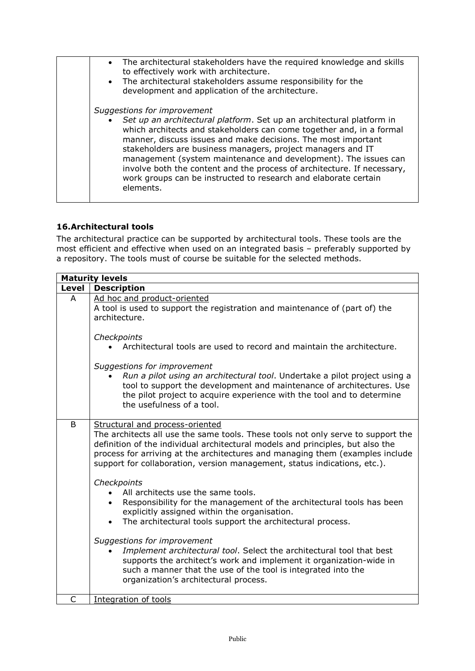| • The architectural stakeholders have the required knowledge and skills<br>to effectively work with architecture.<br>• The architectural stakeholders assume responsibility for the<br>development and application of the architecture.                                                                                                                                                                                                                                                                                                      |
|----------------------------------------------------------------------------------------------------------------------------------------------------------------------------------------------------------------------------------------------------------------------------------------------------------------------------------------------------------------------------------------------------------------------------------------------------------------------------------------------------------------------------------------------|
| Suggestions for improvement<br>• Set up an architectural platform. Set up an architectural platform in<br>which architects and stakeholders can come together and, in a formal<br>manner, discuss issues and make decisions. The most important<br>stakeholders are business managers, project managers and IT<br>management (system maintenance and development). The issues can<br>involve both the content and the process of architecture. If necessary,<br>work groups can be instructed to research and elaborate certain<br>elements. |

#### <span id="page-31-0"></span>**16.Architectural tools**

The architectural practice can be supported by architectural tools. These tools are the most efficient and effective when used on an integrated basis – preferably supported by a repository. The tools must of course be suitable for the selected methods.

| <b>Maturity levels</b> |                                                                                                                                                                                                                                                                                                                                                                     |  |
|------------------------|---------------------------------------------------------------------------------------------------------------------------------------------------------------------------------------------------------------------------------------------------------------------------------------------------------------------------------------------------------------------|--|
| Level                  | <b>Description</b>                                                                                                                                                                                                                                                                                                                                                  |  |
| A                      | Ad hoc and product-oriented<br>A tool is used to support the registration and maintenance of (part of) the<br>architecture.                                                                                                                                                                                                                                         |  |
|                        | Checkpoints<br>Architectural tools are used to record and maintain the architecture.                                                                                                                                                                                                                                                                                |  |
|                        | Suggestions for improvement<br>Run a pilot using an architectural tool. Undertake a pilot project using a<br>tool to support the development and maintenance of architectures. Use<br>the pilot project to acquire experience with the tool and to determine<br>the usefulness of a tool.                                                                           |  |
| B                      | Structural and process-oriented<br>The architects all use the same tools. These tools not only serve to support the<br>definition of the individual architectural models and principles, but also the<br>process for arriving at the architectures and managing them (examples include<br>support for collaboration, version management, status indications, etc.). |  |
|                        | Checkpoints<br>All architects use the same tools.<br>Responsibility for the management of the architectural tools has been<br>explicitly assigned within the organisation.<br>The architectural tools support the architectural process.                                                                                                                            |  |
|                        | Suggestions for improvement<br>Implement architectural tool. Select the architectural tool that best<br>supports the architect's work and implement it organization-wide in<br>such a manner that the use of the tool is integrated into the<br>organization's architectural process.                                                                               |  |
| C                      | Integration of tools                                                                                                                                                                                                                                                                                                                                                |  |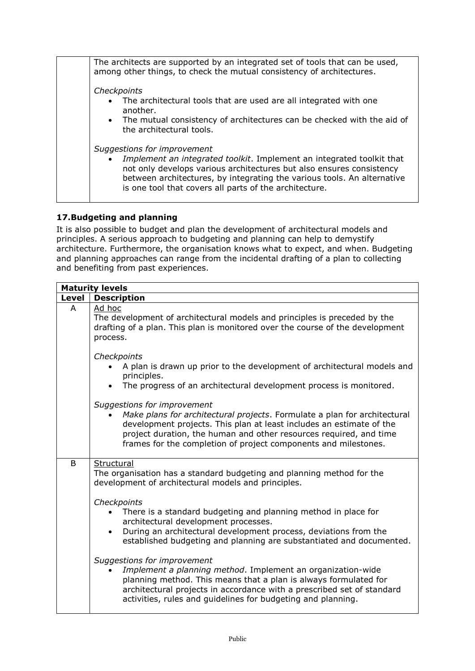| The architects are supported by an integrated set of tools that can be used,<br>among other things, to check the mutual consistency of architectures.                                                                                                                                                             |
|-------------------------------------------------------------------------------------------------------------------------------------------------------------------------------------------------------------------------------------------------------------------------------------------------------------------|
| Checkpoints                                                                                                                                                                                                                                                                                                       |
| • The architectural tools that are used are all integrated with one<br>another.                                                                                                                                                                                                                                   |
| • The mutual consistency of architectures can be checked with the aid of<br>the architectural tools.                                                                                                                                                                                                              |
| Suggestions for improvement<br>Implement an integrated toolkit. Implement an integrated toolkit that<br>not only develops various architectures but also ensures consistency<br>between architectures, by integrating the various tools. An alternative<br>is one tool that covers all parts of the architecture. |

#### <span id="page-32-0"></span>**17.Budgeting and planning**

It is also possible to budget and plan the development of architectural models and principles. A serious approach to budgeting and planning can help to demystify architecture. Furthermore, the organisation knows what to expect, and when. Budgeting and planning approaches can range from the incidental drafting of a plan to collecting and benefiting from past experiences.

| <b>Maturity levels</b> |                                                                                                                                                                                                                                                                                                                                                                                                                              |  |
|------------------------|------------------------------------------------------------------------------------------------------------------------------------------------------------------------------------------------------------------------------------------------------------------------------------------------------------------------------------------------------------------------------------------------------------------------------|--|
| Level                  | <b>Description</b>                                                                                                                                                                                                                                                                                                                                                                                                           |  |
| A                      | Ad hoc<br>The development of architectural models and principles is preceded by the<br>drafting of a plan. This plan is monitored over the course of the development<br>process.                                                                                                                                                                                                                                             |  |
|                        | Checkpoints<br>A plan is drawn up prior to the development of architectural models and<br>principles.<br>The progress of an architectural development process is monitored.                                                                                                                                                                                                                                                  |  |
|                        | Suggestions for improvement<br>Make plans for architectural projects. Formulate a plan for architectural<br>development projects. This plan at least includes an estimate of the<br>project duration, the human and other resources required, and time<br>frames for the completion of project components and milestones.                                                                                                    |  |
| B                      | Structural<br>The organisation has a standard budgeting and planning method for the<br>development of architectural models and principles.<br>Checkpoints<br>There is a standard budgeting and planning method in place for<br>architectural development processes.<br>During an architectural development process, deviations from the<br>$\bullet$<br>established budgeting and planning are substantiated and documented. |  |
|                        | Suggestions for improvement<br>Implement a planning method. Implement an organization-wide<br>planning method. This means that a plan is always formulated for<br>architectural projects in accordance with a prescribed set of standard<br>activities, rules and guidelines for budgeting and planning.                                                                                                                     |  |